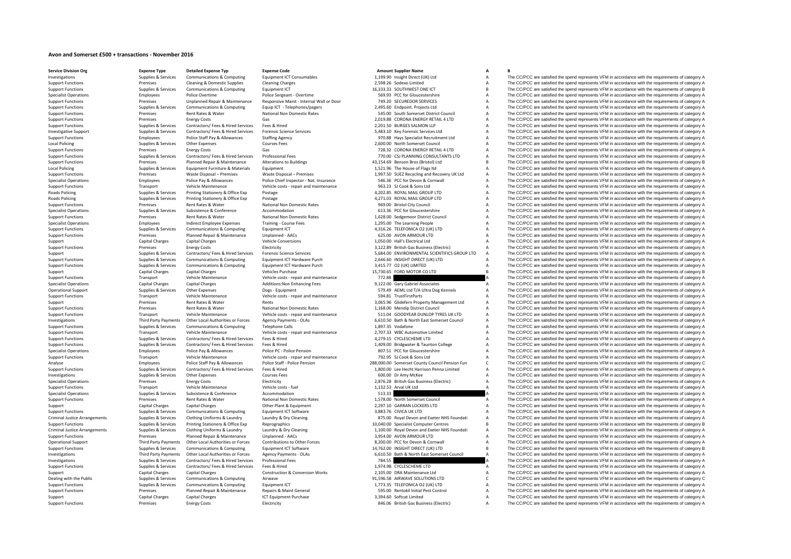## **Avon and Somerset £500 <sup>+</sup> transactions ‐ November 2016**

**Service Division**Local Policing Local Policing Roads Policing **Roads Policing** Criminal JusticeCriminal Justice

**Org Expense Type Detailed Expense Typ Expense Code Amount Supplier Name A B**

Support Functions Premises Energy Costs Energy Costs Electricity Electricity Business (Electricity Business (Electricity Business (Electricity A The CC/PCC are satisfied the spend represents VFM in accordance with the requ

Investigations Supplies & Supplies & Services Communications & Computing Equipment ICT Consumables 1,199.90 Insight Direct (UK) Ltd A The CC/PCC are satisfied the spend represents VFM in accordance with the requirements of Support Functions Premises Cleaning & Domestic Supplies Cleaning Charges Cleaning Charges 2,598.26 Sodexo Limited A The CC/PCC are satisfied the spend represents VFM in accordance with the requirements of category A Suppor Support Functions Supplies Services Communications & Computing Equipment ICT 
Support Functions and the COMPUT ONE ICT COMPUTER THE COMPUT B The CC/PCC are satisfied the spend represents VFM in accordance with the requirem Employees Police Overtime Police Sergeant - Overtime Police Sergeant - Overtime Servertime Servertime Servertime<br>Premises Unplanned Repair & Maintenance Responsive Maint - Internal Wall or Door 749.20 SECUREDOR SERVICES A Support Functions Support Premises Unplanned Repair & Maintenance Responsive Maint - Internal Wall or Door 749.20 SECUREDOR SERVICES A The CO/PCC are satisfied the spend represents VFM in accordance with the requirements o Supplies & Supplies & Services Communications & Computing Equip ICT - Telephones/pagers 2,495.60 Endpoint. Projects Ltd A The CC/PCC are satisfied the spend represents VFM in accordance with the requirements of category A<br> Premises Rent Rates & Water Mational Non Domestic Rates 545.00 South Somerset District Council A The CC/PCC are satisfied the spend represents VFM in accordance with the requirements of category A Support Functions Premises Energy Costs Gas Casegory A Casegory Costs Gas 2,019.88 CORONA ENERGY RETAIL 4 LTD A The CC/PCC are satisfied the spend represents VFM in accordance with the requirements of category A Support Fu Support Functions Supplies & Services Contractors/ Fees & Hired Services Fees & Hired Services Fees & Hired 2,201.50 BURGES SALMON LLP A The CC/PCC are satisfied the spend represents VFM in accordance with the requirements Contractors/ Fees & Hired Services Forensic Science Services Manuscules and S. 483.10 Key Forensic Services Ltd Manuscules A The CC/PCC are satisfied the spend represents VFM in accordance with the requirements of category Support Functions Employees Police Staff Pay & Allowances Staffing Agency Staffing Agency 970.88 Hays Specialist Recruitment Ltd A The CC/PCC are satisfied the spend represents VFM in accordance with the requirements of ca  $\small \textbf{10} \end{array} \begin{minipage}{0.5cm} \begin{minipage}{0.5cm} \begin{minipage}{0.5cm} \begin{minipage}{0.5cm} \begin{minipage}{0.5cm} \begin{minipage}{0.5cm} \begin{minipage}{0.5cm} \begin{minipage}{0.5cm} \begin{minipage}{0.5cm} \begin{minipage}{0.5cm} \begin{minipage}{0.5cm} \begin{minipage}{0.5cm} \begin{minipage}{0.5cm} \begin{minipage}{0.5cm} \begin{minipage}{0.5cm} \begin{minipage}{0.5cm} \begin{minipage}{0.5cm} \begin{$ Premises Energy Costs Gas Gas CORONA ENERGY RETAIL 4 LTD A The CC/PCC are satisfied the spend represents VFM in accordance with the requirements of category A Support Functions Supplies & Services Contractors/ Fees A Hired Services Professional Fees Mired Services Professional Fees Mired Services Professional Fees Mired Alterations and the company and the COPCC are satisfied the Support Functions Planned Repair & Maintenance Alterations to Buildings and the and the and the spend Repair Bros (Bristol) Ltd B The CC/PCC are satisfied the spend represents VFM in accordance with the requirements of cat Policial Supplies The United Supplies A The CC/PCC are satisfied the spend represents VFM in accordance with the requirements of category A The CC/PCC are satisfied the spend represents VFM in accordance with the requireme Support Functions Premises Waste Disposal – Premises Waste Disposal – Premises Waste Disposal – Premises Waste Disposal – Premises 1,997.50 SUEZ Recycling and Recovery UK Ltd A The CC/PCC are satisfied the spend represents Employees Police Pay & Allowances Police Chief Inspector - Nat. Insurance 546.36 PCC for Devon & Cornwall A The CC/PCC are satisfied the spend represents VFM in accordance with the requirements of category A Support Functions Transport Vehicle Maintenance Vehicle costs - repair and maintenance 963.23 SJ Cook & Sons Ltd A The CC/PCC are satisfied the spend represents VFM in accordance with the requirements of category A Road A Policing Supplies Agencies Article of Policing Printing Stationery & Office Exp Postage 1903. A 4,202.85 ROYAL MAIL GROUP LTD A The CC/PCC are satisfied the spend represents VFM in accordance with the requirements of categ Printing Stationery & Office Exp Postage experiences of category A 4,271.03 ROYAL MAIL GROUP LTD A The CC/PCC are satisfied the spend represents VFM in accordance with the requirements of category A Support Functions Premises Rent Rates & Water Mational Non Domestic Rates 969.00 Bristol City Council A The CC/PCC are satisfied the spend represents VFM in accordance with the requirements of category A<br>
Support Functions A The CC/PCC are satisfied the spend represents VFM in accordance with the requirements of category A Support Functions Premises Rent Rates & Water National Non Domestic Rates 1,628.00 Sedgemoor District Council A The CC/PCC are satisfied the spend represents VFM in accordance with the requirements of category A Specialist Operations Employees Indirect Employee Expenses Training - Course Fees 1,295.00 The Learning People A The CC/PCC are satisfied the spend represents VFM in accordance with the requirements of category A Support F Support Functions Supplies & Services Communications & Computing Equipment ICT 4,316.26 TELEFONICA O2 (UK) LTD A The CC/PCC are satisfied the spend represents VFM in accordance with the requirements of category A Support F The CC/PCC are satisfied the spend represents VFM in accordance with the requirements of category A Support Capital Charges Capital Charges Vehicle Conversions 1,050.00 Hall's Electrical Ltd A The CC/PCC are satisfied the spend represents VFM in accordance with the scanisfied of category A The CC/PCC are satisfied the sp Support Functions Premises Energy Costs Energy Costs Electricity Electricity Electricity S,122.89 British Gas Business (Electric) A The CC/PCC are satisfied the spend represents VFM in accordance with the requirements of c Forensic Science Services<br>
Forensic Science Services and The CC/PCC are satisfied the spend represents VFM in accordance with the requirements of category A<br>
For CC/PCC are satisfied the spend represents VFM in accordance Support Functions Supplies & Services Communications & Computing Equipment ICT Hardware Purch 2,646.60 INSIGHT DIRECT (UK) LTD A The CC/PCC are satisfied the spend represents VFM in accordance with the requirements of cate Support Functions Supplies & Services Communications & Computing Equipment ICT Hardware Purch 3,415.77 O2 (UK) LIMITED A The CC/PCC are satisfied the spend represents VFM in accordance with the requirements of category A V Support Capital Charges Capital Charges Vehicles Purchase 15,730.65 FORD MOTOR CO LTD B The CC/PCC are satisfied the spend represents VFM in accordance with the requirements of category B Support Functions Transport Vehicle Maintenance Vehicle Costs ‐ repair and maintenance 772.88 A The CC/PCC are satisfied the spend represents VFM in accordance with the requirements of category A Shericle Costs • repair an Specialist Operations Capital Charges Capital Charges Additions:Non Enhancing Fees 9,122.00 Gary Gabriel Associates A The CC/PCC are satisfied the spend represents VFM in accordance with the requirements of category A Operational Support Supplies & Services Other Expenses Dogs - Equipment Dogs - Equipment Dogs - Equipment Support Contents A The CC/PCC are satisfied the spend represents VFM in accordance with the requirements of category Support Functions Transport Vehicle Maintenance Vehicle costs - repair and maintenance 594.81 TrustFirstParts A The CC/PCC are satisfied the spend represents VFM in accordance with the requirements of category A Support Pr Support Premises Rent Rates & Water Rents Rents Rents 3,065.96 Glidefern Property Management Ltd A The CC/PCC are satisfied the spend represents VFM in accordance with the requirements of category A Support Functions Premises Rent Rates & Water National Non Domestic Rates 1,168.00 Mendip District Council A The CC/PCC are satisfied the spend represents VFM in accordance with the requirements of category A Support Functions Transport Vehicle Maintenance Vehicle costs – repair and maintenance 511.04 GOODYEAR DUNLOP TYRES UK LTD A The CC/PCC are satisfied the spend represents VFM in accordance with the requirements of category Third Party Payments Other Local Authorities or Forces Agency Payments - OLAs 6,610.50 Bath & North East Somerset Council A The CC/PCC are satisfied the spend represents VFM in accordance with the requirements of category Supplies & Services Communications & Computing Telephone Calls 1,897.35 Vodafone A The CC/PCC are satisfied the spend represents VFM in accordance with the requirements of category A Support Functions Transport Vehicle Maintenance Vehicle costs - repair and maintenance 2,707.33 WBC Automotive Limited A The CC/PCC are satisfied the spend represents VFM in accordance with the requirements of category A S The CC/PCC are satisfied the spend represents VFM in accordance with the requirements of category A online and the property of the control of the control of the control of the control of the control of the control of the control of the control of the control of the control of the control of the control of the control of Specialist Operations Employees Police Pay & Allowances Police PC - Police Pension Police Pension 807.51 PCC for Gloucestershire A The CC/PCC are satisfied the spend represents VFM in accordance with the requirements of ca Support Functions Transport Vehicle Maintenance Vehicle costs repair and maintenance 702.95 SJ Cook & Sons Ltd A The CC/PCC are satisfied the spend represents VFM in accordance with the requirements of category A Employees Police Staff Pay & Allowances Police Staff - Police Pension 288,000.00 Somerset County Council Pension Fund COVPCC are satisfied the spend represents VFM in accordance with the requirements of category C<br>Supplies Supplies & Services Contractors/Fees & Hired Services Fees & Hired 1.800.00 Lee Hecht Harrison Penna Limited A The CC/PCC are satisfied the spend represents VFM in accordance with the requirements of category A chronic sta The CC/PCC are satisfied the spend represents VFM in accordance with the requirements of category A Specialist Operations **Energy Costs** Energy Costs Electricity Electricity 2,876.28 British Gas Business (Electricity A The CC/PCC are satisfied the spend represents VFM in accordance with the requirements of category A Support Functions Transport Vehicle Maintenance Vehicle costs - fuel 1,132.53 Arval UK Ltd A The CC/PCC are satisfied the spend represents VFM in accordance with the requirements of category A Specialist Operations Supplies & Supplies & Services Subsistence Supplies Accommodation Accommodation Supplies Accommodation Supplies Conference Accommodation Supplies Supplies Supplies Supplies Supplies and Mational Non D Support Functions Premises Rent Rates & Water National Non Domestic Rates 1,578.00 North Somerset Council A The CC/PCC are satisfied the spend represents VFM in accordance with the requirements of category A Support Capital Charges Capital Charges Capital Charges Other Plant & Equipment Capital Charges Charges Other Plant & Equipment Capital Charges 2,297.10 GARRAN LOCKERS LTD A The CC/PCC are satisfied the spend represents VF Support Functions Supplies & Supplies & Supplies Communications & Computing Equipment ICT Software 3,883.76 CIVICA UK LTD A The CC/PCC are satisfied the spend represents VFM in accordance with the requirements of category Supplies & Services Clothing Uniforms & Laundry Laundry & Dry Cleaning Contains and States of the CC/PCC are satisfied the spend represents VFM in accordance with the requirements of category A Support Functions Supplies & Supplies & Services Printing Stationery & Office Exp Reprographics 10,040.00 Specialist Computer Centres B The CC/PCC are satisfied the spend represents VFM in accordance with the requirements Laundry & Dry Cleaning entitled the spend represents VFM in accordance with the requirements of category A and Exeter NHS Foundati A The CC/PCC are satisfied the spend represents VFM in accordance with the requirements of Support Functions Premises Planned Repair & Maintenance Unplanned - AACs 3,954.00 AVON ARMOUR LTD A The CC/PCC are satisfied the spend represents VFM in accordance with the requirements of category A Creation and Departmen The CC/PCC are satisfied the spend represents VFM in accordance with the requirements of category A Support Functions Supplies & Supplies & Services Communications & Computing Equipment ICT Software 14,762.00 INSIGHT DIRECT (UK) LTD B The CC/PCC are satisfied the spend represents VFM in accordance with the requirements o Third Party Payments Other Local Authorities or Forces Agency Payments - OLAs 6,610.50 Bath & North East Somerset Council A The CC/PCC are satisfied the spend represents VFM in accordance with the requirements of category Inverse CONTRIGATION The CC/PCC are satisfied the spend represents VFM in accordance with the requirements of category A<br>1.974.98 CYCLESCHEME LTD A The CC/PCC are satisfied the spend represents VFM in accordance with the r Support Functions Supplies & Services Contractors/ Fees & Hired Services Fees & Hired Hired Hired Tees & Hired Engine Head are the CLESCHEME LTD A The CC/PCC are satisfied the spend represents VFM in accordance with the re Support Capital Charges Capital Charges Capital Charges Construction & Conversion Works 2,105.00 DRA Maintenance Ltd A The CC/PCC are satisfied the spend represents VFM in accordance with the requirements of category A Dea Dealing with the Public Supplies & Supplies & Services Communications & Computing Airwave Airwave 91,596.58 AIRWAVE SOLUTIONS LTD C The CC/PCC are satisfied the spend represents VFM in accordance with the requirements of c A The CC/PCC are satisfied the spend represents VFM in accordance with the requirements of category A Support Functions Premises Planned Repair & Maintenance Repairs & Maint General 595.00 Rentokil Initial Pest Control A The CC/PCC are satisfied the spend represents VFM in accordance with the requirements of category A Support Capital Charges Capital Charges ICT Equipment Purchase 3,394.60 Softcat Limited A The CC/PCC are satisfied the spend represents VFM in accordance with the requirements of category A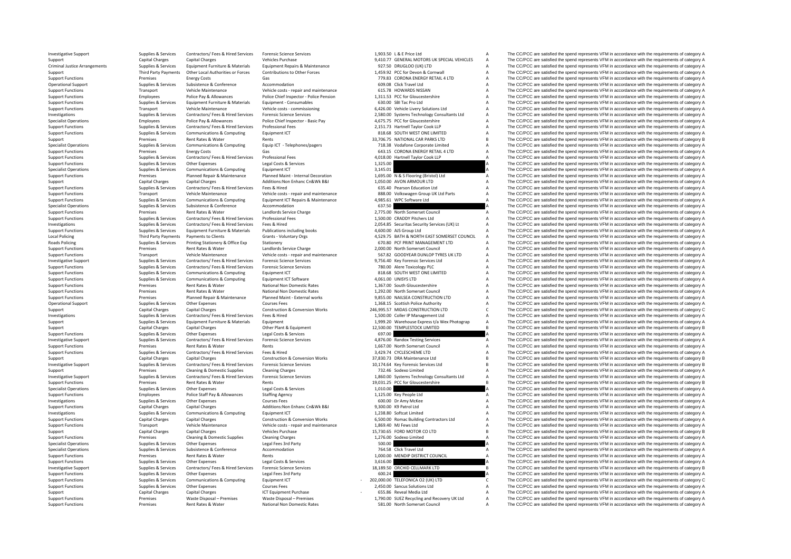Criminal JusticeLocal Policing Roads Policing

Investigative Support Support Support Support Support Support Support Support Support Support Support Support Support Support Support Support Support Support Support Support Capital Charges Capital Charges Capital Charges Support Capital Charges Capital Charges Vehicles Purchase Vehicles Purchase 9,410.77 GENERAL MOTORS UK SPECIAL VEHICLES A The CC/PCC are satisfied the spend represents VFM in accordance with the requirements of category A Supplies & Services Equipment Furniture & Materials Equipment Repairs & Maintenance 927.50 DRUGLOO (UK) LTD A The CC/PCC are satisfied the spend represents VFM in accordance with the requirements of category A Third Party Payments Other Local Authorities or Forces Contributions to Other Forces and the Support ACC/PCC are satisfied the spend represents VFM in accordance with the requirements of category A<br>
Support Functions The C Energy Costs Gas Gas Gas Content Costs Gas The CC/PCC are satisfied the spend represents VFM in accordance with the requirements of category A<br>Supplies & Services Subsistence Substements of category A Commodation and A COL Operational Support Supplies & Services Subsistence Supported Accommodation Accommodation 609.08 Click Travel Ltd A The CC/PCC are satisfied the spend represents VFM in accordance with the requirements of category A Support Tunctions Transport Vehicle Maintenance Vehicle Costs repair and maintenance of SLSX HOWARDS NISSAN A The CC/PCC are satisfied the spend represents VFM in accordance with the requirements of category A The CC/PCC a Police Pay & Allowances Police Chief Inspector - Police Pension 1,31153 PCC for Gloucestershire A The CC/PCC are satisfied the spend represents VFM in accordance with the requirements of category A<br>Followant Furniture & Ma Support Functions Supplies & Services Equipment Furniture & Materials Equipment - Consumables 630.00 SBI Tac Pro Ltd A The CC/PCC are satisfied the spend represents VFM in accordance with the requirements of category A Veh Support Functions Transport Vehicle Maintenance Vehicle costs – commissioning 6,426.00 Vehicle Livery Solutions Ltd A The CC/PCC are satisfied the spend represents VFM in accordance with the requirements of category A The Investigations Computer Contract Contract Contract Contract Contract Contract Contract Contract Contract Contract Contract Contract Contract Contract Contract Contract Contract Contract Contract Contract Contract Contract Specialist Operations The Complete the Complete Employees Police Pay & Allowances Police Chief Inspector - Basic Pay<br>Support Functions Support Functions Support Support Support Category A Support Functions (Support Functio Supplies & Supplies & Services Contractors/ Fees & Hired Services Professional Fees Contractors of the CONTECT CONTECT CONTECT CONTECT CONTECT CONTECT CONTECT CONTECT CONTECT CONTECT CONTECT STATE OF THE CONTECT A THE CONT A The CC/PCC are satisfied the spend represents VFM in accordance with the requirements of category A Support Premises Rent Rates & Water Rents Rents Rents 33,706.75 NATIONAL CAR PARKS LTD B The CC/PCC are satisfied the spend represents VFM in accordance with the requirements of category B Support Presents VFM in accordanc Supplies & Supplies & Supplies & Communications & Computing Equip ICT - Telephones/pagers 718.38 Vodafone Corporate Limited A The CC/PCC are satisfied the spend represents VFM in accordance with the requirements of categor Support Functions Premises Energy Costs Gas Gas Gas 643.15 CORONA ENERGY RETAIL 4 LTD A The CC/PCC are satisfied the spend represents VFM in accordance with the requirements of category A Support Functions Supplies & Services Contractors/ Fees & Hired Services Professional Fees Microsoftes Alison and ACURO Hartnell Taylor Cook LLP A The CC/PCC are satisfied the spend represents VFM in accordance with the re Support Functions Supplies & Services Other Expenses Legal Costs & Services Legal Costs & Services Legal Costs & Services 1,325.00 A The CC/PCC are satisfied the spend represents VFM in accordance with the requirements of Specialist Operations Supplies & Services Communications & Computing Equipment ICT 3,145.01 3,145.01 A The CC/PCC are satisfied the spend represents VFM in accordance with the requirements of category A Services Planned Re Support Functions and the premises and the Planned Repair & Maintenance Planned Maint Internal Decoration 1,695.00 N & S Flooring (Bristol) Ltd The CC/PCC are satisfied the spend represents VFM in accordance with the requi Support Capital Charges Capital Charges Additions:Non Enhanc Cn&Wk B&I 1,050.00 AVON ARMOUR LTD A The CC/PCC are satisfied the spend represents VFM in accordance with the requirements of category A<br>Support Functions Suppli Support Functions Supplies & Services Contractors/ Fees & Hired Services Fees & Hired Mediated Fees & Hired 635.40 Pearson Education Ltd A The CC/PCC are satisfied the spend represents VFM in accordance with the requiremen Transport Vehicle Maintenance Vehicle Costs - repair and maintenance and ass.00 Volkswagen Group UK Ltd Parts A The CC/PCC are satisfied the spend represents VFM in accordance with the requirements of category A Support Fu The CC/PCC are satisfied the spend represents VFM in accordance with the requirements of category A Supplies & Supplies & Subsistence & Conference Accommodation Accommodation Supplies Accommodation Conference Accommodation 637.50 A The CC/PCC are satisfied the spend represents VFM in accordance with the requirements of c Support Functions Premises Rent Rates & Water Landlords Service Charge 2,775.00 North Somerset Council A The CC/PCC are satisfied the spend represents VFM in accordance with the requirements of category A Support Functions Support Functions Support Functions Supplies A Contractors/ Fees Support Functions Contractors/ Fees A Hired Services Attack A The CC/PCC are satisfied the spend represents VFM in accordance with the requirements of catego Investigations Supplies & Services Contractors/ Fees & Hired Services Fees & Hired 2,054.85 Securitas Security Services (UK) Lt <sup>A</sup> The CC/PCC are satisfied the spend represents VFM in accordance with the requirements of category A Support Functions Supplies & Services Equipment Furniture & Materials Publications including books 4,600.00 AJS Group Ltd A The CC/PCC are satisfied the spend represents VFM in accordance with the requirements of category Payments to Clients Crants - Voluntary Orgs Crants Crants Crants Crants Crants Crants Crants Crants Crants Cran<br>4,529.75 BATH & NORTH EAST SOMERSET LTD A The CC/PCC are satisfied the spend represents VFM in accordance with Policing Supplies & Services Printing Stationery & Office Exp Stationery 670.80 PCF PRINT MANAGEMENT LTD A The CC/PCC are satisfied the spend represents VFM in accordance with the requirements of category A Support Functions Premises Rent Rates & Water Mandlords Service Charge 2,000.00 North Somerset Council A The CC/PCC are satisfied the spend represents VFM in accordance with the requirements of category A Support Functions Transport Vehicle Maintenance Vehicle costs - repair and maintenance 567.82 GOODYEAR DUNLOP TYRES UK LTD A The CC/PCC are satisfied the spend represents VFM in accordance with the requirements of category A Investigative Support Supplies & Services Contractors/ Fees & Hired Services Forensic Science Services 9,756.40 Key Forensic Services Ltd <sup>A</sup> The CC/PCC are satisfied the spend represents VFM in accordance with the requirements of category A Supplies Supplies & Services Contractors/ Fees & Hired Services Forensic Science Services Contractors of Contractors Contractors/ Fees & Hired Services Forensic Science Services 780.00 Alere Toxicology PLC A The CC/PCC are Support Functions Supplies & Services Communications & Computing Equipment ICT Software Support Equipment COMPUT Equipment ICT Software and a state of the Support Europe Computing Support Functions Support Functions Suppor Support Functions Supplies & Supplies & Services Communications & Computing Equipment ICT Software 100 a 4,061.00 UNISYS LTD A The CC/PCC are satisfied the spend represents VFM in accordance with the requirements of catego Support Functions Premises Rent Rates & Water National Non Domestic Rates 1,367.00 South Gloucestershire A The CC/PCC are satisfied the spend represents VFM in accordance with the requirements of category A Support Functio Support Functions Premises Rent Rates & Water National Non Domestic Rates 1,292.00 North Somerset Council A The CC/PCC are satisfied the spend represents VFM in accordance with the requirements of category A Support Functi Support Functions Premises Planned Repair & Maintenance Planned Maint ‐ External works 9,855.00 NAILSEA CONSTRUCTION LTD A The CC/PCC are satisfied the spend represents VFM in accordance with the requirements of category A The CC/PCC are satisfied the spend represents VFM in accordance with the requirements of category A Support Capital Charges Capital Charges Construction & Conversion Works 246,995.57 MIDAS CONSTRUCTION LTD C The CC/PCC are satisfied the spend represents VFM in accordance with the requirements of category C Investigations Supplies & Services Contractors/ Fees & Hired Services Fees & Hired 1,500.00 Coller IP Management Ltd A The CC/PCC are satisfied the spend represents VFM in accordance with the requirements of category A Sup Support Support Support Turniture Express A Materials Express to Materials Express to Materials Equipment 1,999.20 Warehouse Express t/a Wex Photograp A The CC/PCC are satisfied the spend represents VFM in accordance with Support Capital Charges Capital Charges Other Plant & Equipment 12,500.00 TEMPLESTOCK LIMITED B The CC/PCC are satisfied the spend represents VFM in accordance with the requirements of category B Support Functions Supplies & Services Other Expenses Legal Costs & Services Legal Costs & Services Legal Costs & Services 697.00 A The CC/PCC are satisfied the spend represents VFM in accordance with the requirements of ca Investigative Sumport Sumphies & Services Contractors/ Fees & Hired Services Forensic Science Services at 876.00 Bandox Testing Services A The CC/PCC are satisfied the spend represents VFM in accordance with the requiremen Support Functions Premises Rent Rates & Water Rents Rents Rents Rents Rents And the Support Premises Rent Rates and The CC/PCC are satisfied the spend represents VFM in accordance with the requirements of category A Suppor Supplies & Services Contractors/ Fees & Hired Services Fees & Hired Fees & Hired Services Fees & Hired Services Fees & Hired Services Fees & Hired 3,429.74 CYCLESCHEME LTD A The CC/PCC are satisfied the spend represents VF Support Capital Charges Capital Charges Construction & Conversion Works 37,830.73 DRA Maintenance Ltd B The CC/PCC are satisfied the spend represents VFM in accordance with the requirements of category B Investigative Support Support Supplies & Services Contractors/ Fees & Hired Services Forensic Science Services contractors Fees & Hired Services Forensic Science Services 10.174.64 Key Forensic Services Ltd B The CC/PCC ar Support Premises Cleaning & Domestic Supplies Cleaning Charges Cleaning Charges 732.46 Sodexo Limited A The CC/PCC are satisfied the spend represents VFM in accordance with the requirements of category A Investigative Support Support Support Support Support Support Support Support Support Support Support Support Support Support Support Support Support Support Support Support Support Support Support Support Permises Rent Ra Support Functions Premises Rent Rates & Water Rents Rents Rents Rents Rents Rents Rents 19,031.25 PCC for Gloucestershire B The CC/PCC are satisfied the spend represents VFM in accordance with the requirements of category Specialist Operations Supplies & Services Other Expenses Legal Costs & Services Legal Costs & Services 1,010.00 A The CC/PCC are satisfied the spend represents VFM in accordance with the requirements of category A Support Functions Employees Police Staff Pay & Allowances Staffing Agency Staffing Agency 1,125.00 Key People Ltd A The CC/PCC are satisfied the spend represents VFM in accordance with the requirements of category A Invest Investigations Supplies & Services Other Expenses Courses Courses Courses Courses Courses Courses Courses Courses Courses Courses Courses Courses Courses Courses Courses Courses Courses Courses 600.00 Dr Amy McKee A The CC A The CC/PCC are satisfied the spend represents VFM in accordance with the requirements of category A Investigations Supplies & Services Communications & Computing Fouldment ICT 1,238.80 Softcat Limited A The CC/PCC are satisfied the spend represents VFM in accordance with the requirements of category A Support Functions Capital Charges Capital Charges Construction & Conversion Works 6,500.00 Romac Building Contractors Ltd A The CC/PCC are satisfied the spend represents VFM in accordance with the requirements of category Support Functions Transport Transport Transport Transport Transport Constant Vehicle Spend represents VFM in accordance with the requirements of category A The CC/PCC are satisfied the spend represents VFM in accordance wi Support Capital Charges Capital Charges Vehicles Purchase Vehicles Purchase 15,730.65 FORD MOTOR CO LTD Support The CC/PCC are satisfied the spend represents VFM in accordance with the requirements of category B Support Fu Support Functions Premises Cleaning & Domestic Supplies Cleaning Charges Cleaning Charges Cleaning Charges 1,276.00 Sodexo Limited A The CC/PCC are satisfied the spend represents VFM in accordance with the requirements of Specialist Operations Supplies & Services Other Expenses Legal Fees 3rd Party 500.00 Central Control and The CC/PCC are satisfied the spend represents VFM in accordance with the requirements of category A Supplies & Servic Supplies & Subsistence & Conference Accommodation Accommodation 764.58 Click Travel Ltd A The CC/PCC are satisfied the spend represents VFM in accordance with the requirements of category A Support Functions Premises Rent Rates & Water Rents Rents Rents Rents Rents Rents Rents Rents 1,000.00 MENDIP DISTRICT COUNCIL A The CC/PCC are satisfied the spend represents VFM in accordance with the requirements of cate Supplies & Services Other Expenses Legal Costs & Services 2007 A The CC/PCC are satisfied the spend represents VFM in accordance with the requirements of category A<br>Supplies & Services Contractors/Fees & Hired Services For Investigative Support Support Support Supporte Supportes Contractors/ Fees & Hired Services Forensic Science Services on 18,189.50 ORCHID CELLMARK LTD B The CC/PCC are satisfied the spend represents VFM in accordance with Support Functions Supplies & Services Other Expenses Legal Fees 3rd Party 600.24 A The CC/PCC are satisfied the spend represents VFM in accordance with the requirements of category A Support Functions & Supplies & Services Support Functions Supplies & Supplies & Services Communications & Computing Equipment ICT 202,000.00 FELEFONICA O2 (UK) LTD C The CC/PCC are satisfied the spend represents VFM in accordance with the requirements of categor Support Functions Supplies & Services Other Expenses Courses Fees 2,450.00 Sancus Solutions Ltd A The CC/PCC are satisfied the spend represents VFM in accordance with the requirements of category A Support Capital Charges Capital Charges ICT Equipment Purchase 655.86 Reveal Media Ltd A The CC/PCC are satisfied the spend represents VFM in accordance with the requirements of category A Support Functions Premises Waste Disposal – Premises Waste Disposal – Premises 1,790.00 SUEZ Recycling and Recovery UK Ltd A The CC/PCC are satisfied the spend represents VFM in accordance with the requirements of category Support Functions Premises Rent Rates & Water National Non Domestic Rates Sational Non Domestic Rates 581.00 North Somerset Council A The CC/PCC are satisfied the spend represents VFM in accordance with the requirements of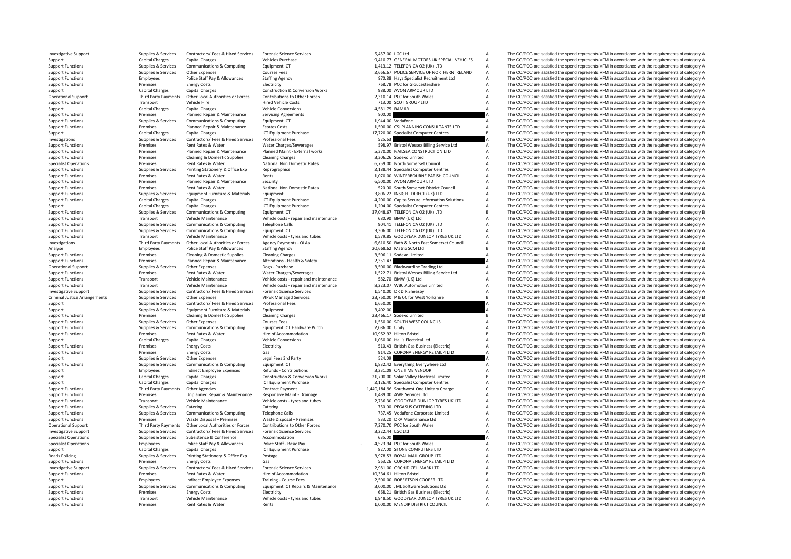Criminal JusticeRoads Policing

Support Functions Premises Rent Rates & Water Rents Rents Rents 1,000.00 MENDIP DISTRICT COUNCIL A The CC/PCC are satisfied the spend represents VFM in accordance with the requirements of category A

Investigative Support Support Support Support Support Support Support Support Support Support Support Support Support Support Support Support Support Support Support Support Support Support Support Support Support Category Support Capital Charges Capital Charges Capital Charges Vehicles Purchase 9,410.77 GENERAL MOTORS UK SPECIAL VEHICLES A The CC/PCC are satisfied the spend represents VFM in accordance with the requirements of category A Th Support Functions Supplies & Services Communications & Computing Equipment ICT 1,413.12 TELEFONICA O2 (IK) LTD A The CC/PCC are satisfied the spend represents VFM in accordance with the requirements of category A Support Functions Supplies & Services Other Expenses Courses Fees Courses Fees 2,666.67 POLICE SERVICE OF NORTHERN IRELAND A The CC/PCC are satisfied the spend represents VFM in accordance with the requirements of category Support Functions Employees Police Staff Pay & Allowances Staffing Agency Staffing Agency 970.88 Hays Specialist Recruitment Ltd A The CC/PCC are satisfied the spend represents VFM in accordance with the requirements of ca Premises Energy Costs Electricity Electricity **Electricity** 768.78 PCC for Gloucestershire A The CC/PCC are satisfied the spend represents VFM in accordance with the requirements of category A Support Capital Charges Capital Charges Capital Charges Construction & Conversion Works 988.00 AVON ARMOUR LTD A The CC/PCC are satisfied the spend represents VFM in accordance with the requirements of category A Charges C 310.14 PCC for South Wales<br>713.00 SCOT GROUP LTD THE COPCC are satisfied the spend represents VFM in accordance with the requirements of category A Support Functions Transport Vehicle Hire Hired Vehicle Costs 713.00 SCOT GROUP LTD A The CC/PCC are satisfied the spend represents VFM in accordance with the requirements of category A Support Functions Canital Charges Can Support Capital Charges Capital Charges Vehicle Conversions 4,581.75 RAMAR A The CC/PCC are satisfied the spend represents VFM in accordance with the requirements of category A The C/PCC are satisfied the spend represents Support Functions Planned Repair & Maintenance Servicing Agreements 900.00 A The CC/PCC are satisfied the spend represents VFM in accordance with the requirements of category A Support Functions Supplies & Supplies & Services Communications & Computing Equipment ICT 1,944.00 Vodafone 1,944.00 Vodafone A The CC/PCC are satisfied the spend represents VFM in accordance with the requirements of categ Premises Planned Repair & Maintenance Estates Costs Premises Consultants Premises Planned Repair & Maintenance Estates Costs 1,500.00 CSJ PLANNING CONSULTANTS LTD A The CC/PCC are satisfied the spend represents VFM in acco Support Capital Charges Capital Charges Capital Charges ICT Equipment Purchase 17,720.00 Specialist Computer Centres B The CC/PCC are satisfied the spend represents VFM in accordance with the requirements of category B Inv Investigations Supplies Agencies Contractors/ Fees & Hired Services Professional Fees Services Professional Fees Supplies Professional Fees Supplies Supplies Supplies Supplies Supplies Supplies Professional Fees Supplies S Support Functions Premises Rent Rates & Water Water Water Charges/Sewerages 598.97 Bristol Wessex Billing Service Ltd A The CC/PCC are satisfied the spend represents VFM in accordance with the requirements of category A Su Premises Planned Repair & Maintenance Planned Maint - External works 5,370.00 NAILSEA CONSTRUCTION LTD A The CC/PCC are satisfied the spend represents VFM in accordance with the requirements of category A Support Functions Premises Cleaning & Domestic Supplies Cleaning Charges Cleaning Charges Cleaning Charges Cleaning Charges Support A The CC/PCC are satisfied the spend represents VFM in accordance with the requirements of Experiences Rent Rates & Water Mational Non Domestic Rates 6,759.00 North Somerset Council A The CC/PCC are satisfied the spend represents VFM in accordance with the requirements of category A Supplies & Services Printing Support Functions Supplies & Services Printing Stationery & Office Exp Reprographics Reprographics 2,188.44 Specialist Computer Centres A The CC/PCC are satisfied the spend represents VFM in accordance with the requirement Support Functions Premises Rent Rates & Water Rents Rents Rents Rents 1,070.00 WINTERBOURNE PARISH COUNCIL A The CC/PCC are satisfied the spend represents VFM in accordance with the requirements of category A Support Functions Premises Planned Repair & Maintenance Security Security 6,500.00 AVON ARMOUR LTD A The CC/PCC are satisfied the spend represents VFM in accordance with the requirements of category A<br>Support Functions Pre Support Functions Premises Rent Rates & Water National Non Domestic Rates Sabes and the Support Punctions Rent Rates Rent Rates Rent Rates National Non Domestic Rates Sabes 2000 South Somerset District Council A The CC/PCC Support Functions Supplies & Services Equipment Furniture & Materials Equipment Equipment Support and the Support DIRECT (UK) LTD A The CC/PCC are satisfied the spend represents VFM in accordance with the requirements of c The CC/PCC are satisfied the spend represents VFM in accordance with the requirements of category A Support Capital Charges Capital Charges Capital Charges ICT Equipment Purchase 1,204.00 Specialist Computer Centres A The CC/PCC are satisfied the spend represents VFM in accordance with the requirements of category B<br>Supp Support Functions Supplies & Services Communications & Computing Equipment ICT Support Equipment ICT 37,048.67 TELEFONICA O2 (UK) LTD B The CC/PCC are satisfied the spend represents VFM in accordance with the requirements S80.90 BMW (UK) Ltd A The CC/PCC are satisfied the spend represents VFM in accordance with the requirements of category A The CC/PCC are satisfied the spend represents VFM in accordance with the requirements of category A Support Functions Supplies & Supplies & Supplies Communications & Computing Telephone Calls Telephone Calls 904.41 TELEFONICA O2 (UK) LTD A The CC/PCC are satisfied the spend represents VFM in accordance with the requireme Support Functions Supplies & Services Communications & Computing Equipment ICT Support Functions 3,306.00 TELEFONICA O2 (UK) LTD A The CC/PCC are satisfied the spend represents VFM in accordance with the requirements of ca Vehicle costs - tyres and tubes 1,579.85 GOODYEAR DUNLOP TYRES UK LTD A The CC/PCC are satisfied the spend represents VFM in accordance with the requirements of category A costs - tyres and tubes 5.610.50 Bath & North East Third Party Payments Other Local Authorities or Forces Agency Payments - OLAs 6,610.50 Bath & North East Somerset Council A The CC/PCC are satisfied the spend represents VFM in accordance with the requirements of category Analyse Employees Police Staff Pay & Allowances Staffing Agency 20,668.62 Matrix SCM Ltd B The CC/PCC are satisfied the spend represents VFM in accordance with the requirements of category B Support Functions Premises Cleaning & Domestic Supplies Cleaning Charges Cleaning Charges 3,506.11 Sodexo Limited A The CC/PCC are satisfied the spend represents VFM in accordance with the requirements of category A Support Functions Premises Planned Repair & Maintenance Alterations - Health & Safety 2,351.47 A The CC/PCC are satisfied the spend represents VFM in accordance with the requirements of category A Does-Purchase Does-Purcha Operational Support Supplies & Services Other Expenses Dogs - Purchase 3,500.00 Blackwardine Trading Ltd A The CC/PCC are satisfied the spend represents VFM in accordance with the requirements of category A Support Functions Premises Rent Rates & Water Water Water Water Charges 1,522.71 Bristol Wessex Billing Service Ltd A The CC/PCC are satisfied the spend represents VFM in accordance with the requirements of category A Support Functions Transport Vehicle Maintenance Vehicle Costs ‐ repair and maintenance Sacks and the UK) Ltd A The CC/PCC are satisfied the spend represents VFM in accordance with the requirements of category A Support Fun Support Functions Transport Vehicle Maintenance Vehicle costs – repair and maintenance 8,223.07 WBC Automotive Limited A The CC/PCC are satisfied the spend represents VFM in accordance with the requirements of category A I Investigative Sunnort Sunnies & Services Contractors/ Fees & Hired Services Forensic Science Services Forensic Science Services 1.540.00 DR DR Sheashy The CC/PCC are satisfied the spend represents VFM in accordance with th Supplies & Services Other Expenses VIPER Managed Services 23,750.00 P & CC for West Yorkshire 23,750.00 P & CC for West Yorkshire B The CC/PCC are satisfied the spend represents VFM in accordance with the requirements of c Supplies & Supplies & Services Contractors/ Fees & Hired Services Professional Fees 1,650.00 4,1650.00 A The CC/PCC are satisfied the spend represents VFM in accordance with the requirements of category A Support Supplies & Services Equipment Furniture & Materials Equipment Support Support 3,402.00 A The CC/PCC are satisfied the spend represents VFM in accordance with the requirements of category A Support Support Cleaning Support Functions Premises Cleaning & Domestic Supplies Cleaning Charges Cleaning Charges 23,466.17 Sodexo Limited B The CC/PCC are satisfied the spend represents VFM in accordance with the requirements of category B Cours A The CC/PCC are satisfied the spend represents VFM in accordance with the requirements of category A Support Functions Supplies & Services Communications & Computing Equipment ICT Hardware Purch 2,086.00 Unify 2,086.00 Unify A The CC/PCC are satisfied the spend represents VFM in accordance with the requirements of categor Support Functions Premises Rent Rates & Water Hire of Accommodation Hire of Accommodation Hire of Accommodation 10,952.92 Hilton Bristol B The CC/PCC are satisfied the spend represents VFM in accordance with the requiremen Support Capital Charges Capital Charges Vehicle Conversions 1,050.00 Hall's Electrical Itd A The CC/PCC are satisfied the spend represents VFM in accordance with the requirements of category A Support Functions Premises Energy Costs Energy Costs Electricity Electricity Electricity Electricity 510.43 British Gas Business (Electricity A The CC/PCC are satisfied the spend represents VFM in accordance with the requi Support Functions Premises Energy Costs Cases Gas Gas 914.25 CORONA ENERGY RETAIL 4 LTD A The CC/PCC are satisfied the spend represents VFM in accordance with the requirements of category A<br>Supplies & Services Other Expens Supplies & Services Other Expenses Legal Fees 3rd Party 524.09 524.09 A The CC/PCC are satisfied the spend represents VFM in accordance with the requirements of category A Support Functions Supplies & Services Communications & Computing Equipment ICT Support A The CC/PCC are satisfied the spend represents VFM in accordance with the requirements of category A Support Englishere Ltd Support Th Support Employees Indirect Employee Expenses Refunds - Contributions 3,231.09 ONE TIME VENDOR A The CC/PCC are satisfied the spend represents VFM in accordance with the requirements of category A Support Capital Charges Capital Charges Capital Charges Construction & Conversion Works 21,700.00 Solar Valley Electrical Limited B The CC/PCC are satisfied the spend represents VFM in accordance with the requirements of c Support Capital Charges Capital Charges Capital Charges ICT Equipment Purchase 2,126.40 Specialist Computer Centres A The CC/PCC are satisfied the spend represents VFM in accordance with the requirements of category A Supp Third Party Payments Other Agencies Contract Payment Contract Payment 1,440,184.96 Southwest One Unitary Charge C The CC/PCC are satisfied the spend represents VFM in accordance with the requirements of category C 1,489.00 Support Functions Premises Premises Unplanned Repair & Maintenance Responsive Maint - Drainage 1,489.00 AWP Services Ltd A The CC/PCC are satisfied the spend represents VFM in accordance with the requirements of category A Support Functions Transport Vehicle Maintenance Vehicle costs – tyres and tubes 2,736.30 GOODYEAR DUNLOP TYRES UK LTD A The CC/PCC are satisfied the spend represents VFM in accordance with the requirements of category A Su Catering Catering Catering Catering Catering Catering Catering Catering Catering Catering Catering Catering Catering Catering Catering Catering Catering Catering Catering Catering Catering 750.00 PEGASUS CATERING LTD A The Support Functions Supplies & Services Communications & Computing Telephone Calls Telephone Calls 737.45 Vodafone Corporate Limited A The CC/PCC are satisfied the spend represents VFM in accordance with the requirements of Support Functions Premises Waste Disposal – Premises Waste Disposal – Premises Waste Disposal – Premises 833.20 DRA Maintenance Ltd A The CC/PCC are satisfied the spend represents VFM in accordance with the requirements of A The CC/PCC are satisfied the spend represents VFM in accordance with the requirements of category A Investigative Support Supplies & Supplies & Services Contractors/ Fees & Hired Services Forensic Science Services Support Services A The CC/PCC are satisfied the spend represents VFM in accordance with the requirements of Specialist Operations Supplies & Subsistence Subsistence Accommodation Accommodation Supplies Accommodation and the COLOGING CONFERENCE ACC/PCC are satisfied the spend represents VFM in accordance with the requirements of 523.94 PCC for South Wales<br>A The CC/PCC are satisfied the spend represents VFM in accordance with the requirements of category A<br>A The CC/PCC are satisfied the spend represents VFM in accordance with the requirements of ca Support Capital Charges Capital Charges ICT Equipment Purchase 827.00 STONE COMPUTERS LTD A The CC/PCC are satisfied the spend represents VFM in accordance with the requirements of category A Supplies & Services Printing Stationery & Office Exp Postage Principles and Supplies 3,978.53 ROYAL MAIL GROUP LTD A The CC/PCC are satisfied the spend represents VFM in accordance with the requirements of category A Support Functions Premises Energy Costs Gas Gas Sections (Sas Section A The CC/PCC are satisfied the spend represents VFM in accordance with the requirements of category A Investigative Support Support Support Supporte Supportes Supporters Contractors/ Fees & Hired Services Forensic Science Services on 2,981.00 ORCHID CELLMARK LTD A The CC/PCC are satisfied the spend represents VFM in accord Support Functions Premises Rent Rates & Water Hire of Accommodation 10,334.61 Hilton Bristol B The CC/PCC are satisfied the spend represents VFM in accordance with the requirements of category B Support Employees Indirect Employee Expenses Training - Course Fees 2,500.00 ROBERTSON COOPER LTD A The CC/PCC are satisfied the spend represents VFM in accordance with the requirements of category A<br>Support Functions Supp Support Functions Supplies & Services Communications & Computing Equipment ICT Repairs & Maintenance 3,000.00 JML Software Solutions Ltd A The CC/PCC are satisfied the spend represents VFM in accordance with the requiremen Support Functions Premises Energy Costs Electricity Electricity Electricity Electricity and the requirements of category A The CC/PCC are satisfied the spend represents VFM in accordance with the requirements of category A Support Functions Transport Vehicle Maintenance Vehicle costs – tyres and tubes 1,948.50 GOODYEAR DUNLOP TYRES UK LTD A The CC/PCC are satisfied the spend represents VFM in accordance with the requirements of category A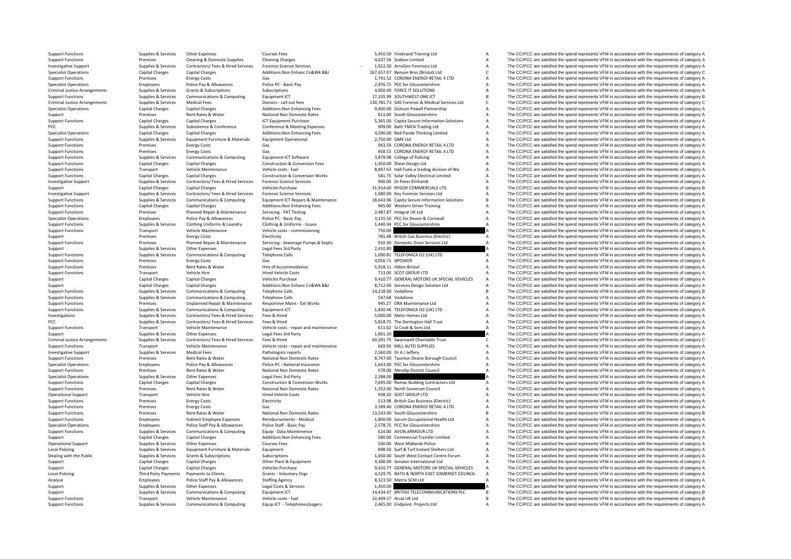Criminal JusticeCriminal JusticeCriminal Justice**Local Policing Local Policing** 

Support Functions Supplies & Services Other Expenses Courses Fees Courses Courses Fees 5,450.50 Firebrand Training Ltd A The CC/PCC are satisfied the spend represents VFM in accordance with the requirements of category A S Support Functions Premises Cleaning & Domestic Supplies Cleaning Charges Cleaning Charges Cleaning Charges 4,637.56 Sodexo Limited A The CC/PCC are satisfied the spend represents VFM in accordance with the requirements of Investigative Support Supplies & Services Contractors/ Fees & Hired Services Forensic Science Services 1,922.50 ‐ ArroGen Forensics Ltd <sup>A</sup> The CC/PCC are satisfied the spend represents VFM in accordance with the requirements of category A Specialist Operations Capital Charges Capital Charges Additions:Non Enhanc Cn&Wk B&I 267,657.07 Benson Bros (Bristol) Ltd C The CC/PCC are satisfied the spend represents VFM in accordance with the requirements of category Support Functions Premises Energy Costs Gas Case Costs Gas Case Costs Gas 1,741.52 CORONA ENERGY RETAIL 4 LTD A The CC/PCC are satisfied the spend represents VFM in accordance with the requirements of category A Specialist Specialist Operations Police Pay 2,976.<br>The CC/PCC are satisfied the spend represents VFM in accordance with the requirements of category A Criminal Justice Arrangements Supplies & Services Grants & Subscriptions Subscriptions Subscriptions Subscriptions and the equirements of the SC/PCC are satisfied the spend represents VFM in accordance with the requirement R The CC/PCC are satisfied the spend represents VFM in accordance with the requirements of category B Arrive Supplies & Services Medical Fees Doctors - call out fees Doctors - call out fees Doctors - call out fees Doctors - call out fees 130,781.73 G4S Forensic & Medical Services Ltd C The CC/PCC are satisfied the spend re Specialist Operations Capital Charges Capital Charges Additions:Non Enhancing Fees 9,400.00 Dickson Powell Partnership A The CC/PCC are satisfied the spend represents VFM in accordance with the requirements of category A T Support Premier Rates Rent Rates Rent Rates Rent Rates Rent Rates and Domestic Rates 811.00 South Gloucestershire A The CC/PCC are satisfied the spend represents VFM in accordance with the requirements of category A Support Functions Capital Charges Capital Charges Capital Charges ICT Equipment Purchase ICT Equipment Purchase 5,365.00 Capita Secure Information Solutions A The CC/PCC are satisfied the spend represents VFM in accordance PCC Supplies & Supplies & Supplies & Subsistence Subsistence Conference Conference & Meeting Expenses 909.00 Bath YMCA Trading Ltd A The CC/PCC are satisfied the spend represents VFM in accordance with the requirements of The CC/PCC are satisfied the spend represents VFM in accordance with the requirements of category A Support Functions Supplies & Services Equipment Furniture & Materials Equipment Operational Equipment Operational 2,750.00 GMK Ltd A The CC/PCC are satisfied the spend represents VFM in accordance with the requirements of Support Functions Premises Energy Costs Gas Gas Gas 943.59 CORONA ENERGY RETAIL 4 LTD A The CC/PCC are satisfied the spend represents VFM in accordance with the requirements of category A Support Functions Premises Energy Costs Gas Gas Based Category A SS.53 CORONA ENERGY RETAIL 4 LTD A The CC/PCC are satisfied the spend represents VFM in accordance with the requirements of category A Support Functions Supplies & Supplies & Supplies Communications & Computing Equipment ICT Software A Support A The CC/PCC are satisfied the spend represents VFM in accordance with the requirements of category A Support Fun Support Functions Capital Charges Capital Charges Construction A The CC/PCC are satisfied the spend represents VFM in accordance with the requirements of category A The CC/PCC are satisfied the spend represents VFM in acco Support Functions Transport Vehicle Maintenance Vehicle costs - fuel 8,897.63 Hall Fuels a trading division of Wa A The CC/PCC are satisfied the spend represents VFM in accordance with the requirements of category A Support Functions Capital Charges Capital Charges Construction & Conversion Works 581.75 Solar Valley Electrical Limited A The CC/PCC are satisfied the spend represents VFM in accordance with the requirements of category A Investigative Support Support Support Supporte Supportes Supporters Contractors/ Fees & Hired Services Forensic Science Services For Music Services Contractors/ Fees & Hired Services Forensic Science Services Support and D Support Capital Charges Capital Charges Vehicles Purchase Vehicles Purchase 31,914.00 RYGOR COMMERCIALS LTD B The CC/PCC are satisfied the spend represents VFM in accordance with the requirements of category B Investigativ The COPPCC are satisfied the spend represents UFM in accordance with the requirements of category A and the COPCC are satisfied the spend represents VFM in accordance with the requirements of category A and the courrent of The CC/PCC are satisfied the spend represents VFM in accordance with the requirements of category B Support Functions Capital Charges Capital Charges Additions:Non Enhancing Fees 965.00 Western Driver Training A The CC/PCC are satisfied the spend represents VFM in accordance with the requirements of category A Support Fu Support Functions Premises Planned Repair & Maintenance Servicing - PAT Testing 2,487.87 Integral UK Ltd A The CC/PCC are satisfied the spend represents VFM in accordance with the requirements of category A Service Present Police Pay & Allowances Police PC - Basic Pay 3,135.50 PCC for Devon & Cornwall A The CC/PCC are satisfied the spend represents VFM in accordance with the requirements of category A Clothes and the category A The CripCC ar Sunnet European Sunning Reservices Clerining Uniforms Relations Clerining Clerining Clerining Clerining Clerining Legislate 1440 of Cris Clementaring A The CCPCC are assisted the parameters (CM) in accordance with the requ Support Functions Transport Vehicle Maintenance Vehicle costs – commissioning 750.00 The CC/PCC are satisfied the spend represents VFM in accordance with the requirements of category A<br>The CC/PCC are satisfied the spend re Support Premises Energy Costs Electricity Electricity Electricity Electricity Electricity 191.48 British Gas Business (Electricity A The CC/PCC are satisfied the spend represents VFM in accordance with the requirements of Premises Planned Repair & Maintenance Servicing - Severage Pumps & Septic 910.30 Domestic Drain Services Ltd A The CC/PCC are satisfied the spend represents VFM in accordance with the requirements of category A Support Supplies & Services Other Expenses Legal Fees 3rd Party 2,410.80 2,410.80 A The CC/PCC are satisfied the spend represents VFM in accordance with the requirements of category A Support Functions & Computing Telephon Communications & Computing Telephone Calls Computing Telephone Calls 1,090.81 TELEFONICA O2 (UK) LTD A The CC/PCC are satisfied the spend represents VFM in accordance with the requirements of category A Support Functions Premises Energy Costs Gas Gas Gas Gas 4,056.71 NPOWER 4,056.71 NPOWER A The CC/PCC are satisfied the spend represents VFM in accordance with the requirements of category A Current Content of the requireme Support Functions a Support Rates Rent Rates Rent Rates Rent Rates Rent Rates Rent Rates and Hire of Accommodation 5,918.11 Hilton Bristol A The CC/PCC are satisfied the spend represents VFM in accordance with the requirem Support Functions Transport Vehicle Hire Hired Vehicle Costs 713.00 SCOT GROUP LTD A The CC/PCC are satisfied the spend represents VFM in accordance with the requirements of category A Support Capital Charges Capital Charges Vehicles Purchase Vehicles Purchase 9,410.77 GENERAL MOTORS UK SPECIAL VEHICLES A The CC/PCC are satisfied the spend represents VFM in accordance with the requirements of category A Support Capital Charges Capital Charges Additions:Non Enhanc Cn&Wk B&I 8,712.00 Services Design Solution Ltd A The CC/PCC are satisfied the spend represents VFM in accordance with the requirements of category A Support Ent Support Functions Supplies & Supplies & Supplies Communications & Computing Telephone Calls 14,218.60 Vodafone 14,218.60 Vodafone B The CC/PCC are satisfied the spend represents VFM in accordance with the requirements of c Support Functions Supplies & Supplies & Support Communications & Computing Telephone Calls Telephone Calls 547.68 Vodafone A The CC/PCC are satisfied the spend represents VFM in accordance with the requirements of category Support Functions Premises Unplanned Repair & Maintenance Responsive Maint - Ext Works 945.27 DRA Maintenance Ltd A The CC/PCC are satisfied the spend represents VFM in accordance with the requirements of category A Suppor Supplies & Services Communications & Computing Equipment ICT 1,830.46 TELEFONICA O2 (UK) LTD A The CC/PCC are satisfied the spend represents VFM in accordance with the requirements of category A Cumplications and the compu Investigations Supplies & Supplies & Services Contractors/ Fees & Hired Services Fees & Hired Services Fees & Hired Services Fees & Hired Services Fees & Hired Services Fees & Hired Services Fees & Hired Services Services PCC Supplies A The CC/PCC are satisfied the spend represents VFM in accordance with the requirements of category A The CC/PCC are satisfied the spend represents VFM in accordance with the requirements of category A The CC/ Support Functions Transport Vehicle Maintenance Vehicle costs ‐ repair and maintenance 611.62 SJ Cook & Sons Ltd A The CC/PCC are satisfied the spend represents VFM in accordance with the requirements of category A Support Support Supplies & Services Other Expenses Legal Fees 3rd Party 1,801.20 A The CC/PCC are satisfied the spend represents VFM in accordance with the requirements of category A Critical Anarchy Contractors Fees & Hired Suppo  $AC$  The CC/PCC are satisfied the spend represents VFM in accordance with the requirements of category C Support Functions Transport Vehicle Maintenance Vehicle Costs - repair and maintenance 669.93 MILL AUTO SUPPLIES A The CC/PCC are satisfied the spend represents VFM in accordance with the requirements of category A Investi Investigative Support Support Support Support Support Support Supplies A The CC/PCC are satisfied the spend represents VFM in accordance with the requirements of category A S.747.00 Taunton Deane Borough Council A The CC/P Support Functions Premises Rent Rates & Water National Non Domestic Rates 8,747.00 Taunton Deane Borough Council A The CC/PCC are satisfied the spend represents VFM in accordance with the requirements of category A Specialist Operations Employees Police Pay & Allowances Police PC · National Insurance 1,643.00 PCC for Gloucestershire A The CC/PCC are satisfied the spend represents VFM in accordance with the requirements of category A Support Functions Premises Rent Rates & Water National Non Domestic Rates 578.00 Mendip District Council A The CC/PCC are satisfied the spend represents VFM in accordance with the requirements of category A Specialist Operations Supplies & Services Other Expenses Legal Fees 3rd Party 2,288.00 A The CC/PCC are satisfied the spend represents VFM in accordance with the requirements of category A Supplies & Services Capital Charg Support Functions Capital Charges Capital Charges Capital Charges Construction & Conversion Works 7,695.00 Romac Building Contractors Ltd A The CC/PCC are satisfied the spend represents VFM in accordance with the requireme Premises Rent Rates & Water National Non Domestic Rates 1,352.00 North Somerset Council A The CC/PCC are satisfied the spend represents VFM in accordance with the requirements of category A Operational Support Transport Vehicle Hire Metal Hired Vehicle Costs Hired Vehicle Costs and the COSts 938.50 SCOT GROUP LTD A The CC/PCC are satisfied the spend represents VFM in accordance with the requirements of catego Support Functions Premises Energy Costs Electricity Electricity Electricity Electricity 513.98 British Gas Business (Electricity A The CC/PCC are satisfied the spend represents VFM in accordance with the requirements of ca Premises Energy Costs Gas Gas Support Concerns Concerns and CORONA ENERGY RETAIL 4 LTD A The CC/PCC are satisfied the spend represents VFM in accordance with the requirements of category A Support Functions Premises Rent Rates & Water National Non Domestic Rates 13,543.00 South Gloucestershire B The CC/PCC are satisfied the spend represents VFM in accordance with the requirements of category B Support Functions Employees Indirect Employee Expenses Reimbursements - Medical 1,800.00 Sarum Occupational Health Ltd A The CC/PCC are satisfied the spend represents VFM in accordance with the requirements of category A S Specialist Operations Employees All The CC/PCC are satisfied the spend represents VFM in accordance with the requirements of category A<br>A The CC/PCC are satisfied the spend represents VFM in accordance with the requirement Support Functions Supplies & Services Communications & Computing Equip ‐ Data Maintenence 624.00 AVON ARMOUR LTD A The CC/PCC are satisfied the spend represents VFM in accordance with the requirements of category A Support Support Capital Charges Capital Charges Capital Charges Additions:Non Enhancing Fees 580.00 Commercial Transfer Limited A The CC/PCC are satisfied the spend represents VFM in accordance with the requirements of category A Operational Support Support Support Support Support Support Support Support Support Support Support Support Support Support Support Support Support Support Support Support Support Support Support Support Support Support Su Popiles & Services Equipment Furniture & Materials Equipment and the Services Equipment and the Services Equipment Shelters Ltd A The CC/PCC are satisfied the spend represents VFM in accordance with the requirements of cat Dealing with the Public Supplies & Subscriptions Subscriptions Subscriptions Subscriptions Subscriptions Subscriptions Subscriptions and the Manual Lacky of The CC/PCC are satisfied the spend represents VFM in accordance w Support Capital Charges Capital Charges Other Plant & Equipment 4,300.00 Senator International Ltd A The CC/PCC are satisfied the spend represents VFM in accordance with the requirements of category A Support Capital Charges Capital Charges Vehicles Purchase Vehicles Purchase 9,410.77 GENERAL MOTORS UK SPECIAL VEHICLES A The CC/PCC are satisfied the spend represents VFM in accordance with the requirements of category A Policing Third Party Payments to Clients Grants - Voluntary Orgs 4529.75 BATH & NORTH FAST SOMERSET COUNCIL A The CC/PCC are satisfied the spend represents VFM in accordance with the requirements of category A Analyse Employees Police Staff Pay & Allowances Staffing Agency Staff Pay and the Stategory A The CC/PCC are satisfied the spend represents VFM in accordance with the requirements of category A<br>Support Supplies & Services Supplies & Services Other Expenses Legal Costs & Services Legal Costs According Support 1,450.00 A The CC/PCC are satisfied the spend represents VFM in accordance with the requirements of category A Support Support Support Support Supplies & Services Communications & Computing Equipment ICT 14,434.47 BRITISH TELECOMMUNICATIONS PLC B The CC/PCC are satisfied the spend represents VFM in accordance with the requirements of category B Support Functions Transport Vehicle Maintenance Vehicle costs - fuel 32,409.17 Arval UK Ltd B The CC/PCC are satisfied the spend represents VFM in accordance with the requirements of category B Support Functions Supplies & Services Communications & Computing Equip ICT - Telephones/pagers 2,465.00 Endpoint. Projects Ltd AThe CC/PCC are satisfied the spend represents VFM in accordance with the requirements of categ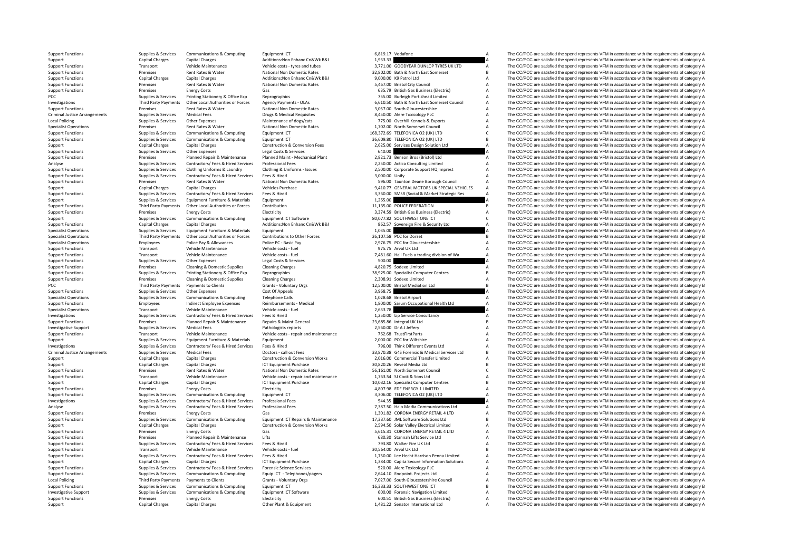Criminal Justice**Local Policing** Criminal JusticeLocal Policing

Third Party Payments

Support Capital Charges Capital Charges Other Plant & Equipment 1,481.22 Senator International Ltd A The CC/PCC are satisfied the spend represents VFM in accordance with the requirements of category A

Support Functions Supplies & Supplies & Supplies & Support Communications & Computing Equipment ICT Equipment ICT 6,819.17 Vodafone A Support Functions A The CC/PCC are satisfied the spend represents VFM in accordance with Support Capital Charges Capital Charges Additions:Non Enhanc Cn&Wk B&I 1,933.33 A The CC/PCC are satisfied the spend represents VFM in accordance with the requirements of category A Support Capital Charges Capital Charges Support Functions **Support Transport Vehicle Maintenance** Vehicle cress and tubes 3,771.00 GOODYEAR DUNLOP TYRES UK TD A The CC/PCC are satisfied the spend represents VFM in accordance with the requirements of category A Support Functions Premises Rent Rates & Water National Non Domestic Rates 32,802.00 Bath & North East Somerset B The CC/PCC are satisfied the spend represents VFM in accordance with the requirements of category B<br>Support F Support Functions:Non Enhanc Charges Capital Charges Capital Charges Capital Charges Capital Charges Capital Charges Capital Charges Capital Charges Capital Charges Additions:Non Enhanc Cn&Wk B&I 9,000.00 K9 Patrol Ltd A T Support Functions Premises Rent Rates & Water National Non Domestic Rates 5,467.00 Bristol City Council A The CC/PCC are satisfied the spend represents VFM in accordance with the requirements of category A Support Functions Functions Premises Energy Costs Gas Gas Gas Gas Casts Gas 635.79 British Gas Business (Electric) A The CC/PCC are satisfied the spend represents VFM in accordance with the requirements of category A<br>PCC A Printing Stationery & Office Exp Reprographics Principles Principles 2014 2014 755.00 Burleigh Portishead Limited A The CC/PCC are satisfied the spend represents VFM in accordance with the requirements of category A The Cr Investigations Third Party Payments Other Local Authorities or Forces Agency Payments ‐ OLAs 6,610.50 Bath & North East Somerset Council A The CC/PCC are satisfied the spend represents VFM in accordance with the requirements of category A Support Functions Premises Rent Rates & Water National Non Domestic Rates 3,057.00 South Gloucestershire A The CC/PCC are satisfied the spend represents VFM in accordance with the requirements of category A Criminal luctio Arrangements Supplies & Services Medical Fees Drugs & Medical Requisites 8,450.00 Alere Toxicology PLC A The CC/PCC are satisfied the spend represents VFM in accordance with the requirements of category A Poplies & Services Other Expenses Maintenance of dogs/cats 775.00 Overhill Kennels & Exports A The CC/PCC are satisfied the spend represents VFM in accordance with the requirements of category A The Criteria and the spend Specialist Operations Premises Rent Rates & Water National Non Domestic Rates 1,702.00 North Somerset Council A The CC/PCC are satisfied the spend represents VFM in accordance with the requirements of category A Support Fu  $\mathcal{L}$  The CC/PCC are satisfied the spend represents VFM in accordance with the requirements of category C Support Functions Supplies & Services Communications & Computing Fouldment ICT 36,609.80 TELEFONICA O2 (UK) LTD B The CC/PCC are satisfied the spend represents VFM in accordance with the requirements of category B Support Capital Charges Capital Charges Capital Charges Construction & Conversion Fees 2,625.00 Services Design Solution Ltd A The CC/PCC are satisfied the spend represents VFM in accordance with the requirements of catego Supplies & Services Other Expenses Legal Costs & Services Legal Costs & Services A Costs and Costs and Costs and Costs and Costs and Costs and Costs and Costs and Costs and Costs and Costs and Costs and Costs and Costs and Support Functions of the Premises Planned Repair & Maintenance Planned Maint - Mechanical Plant 2,821.73 Benson Bros (Bristol) Ltd The CC/PCC are satisfied the spend represents VFM in accordance with the requirements of ca Analyse Supplies & Services Contractors/ Fees & Hired Services Professional Fees 2,250.00 Actica Consulting Limited A The CC/PCC are satisfied the spend represents VFM in accordance with the requirements of category A Supp Supplies & Services Clothing Uniforms & Laundry Clothing & Uniforms - Issues 2,500.00 Corporate Support HQ Imprest A The CC/PCC are satisfied the spend represents VFM in accordance with the requirements of category A<br>Suppl Support Functions Supplies & Services Contractors/ Fees & Hired Services Fees & Hired Services Fees & Hired Services Fees & Hired Services Fees & Hired 3,000.00 Unify A The CC/PCC are satisfied the spend represents VFM in Support Functions Premises Rent Rates & Water National Non Domestic Rates 596.00 Taunton Deane Borough Council A The CC/PCC are satisfied the spend represents VFM in accordance with the requirements of category A Support Capital Charges Capital Charges Vehicles Purchase Vehicles Purchase 9,410.77 GENERAL MOTORS UK SPECIAL VEHICLES A The CC/PCC are satisfied the spend represents VFM in accordance with the requirements of category A Supplies & Services Contractors/ Fees & Hired Services Fees & Hired Equipment and the contractors and the COPCC are satisfied the spend represents VFM in accordance with the requirements of category A<br>Supplies & Services E Supplies & Services Equipment Furniture & Materials Equipment 1,265.00 A The CC/PCC are satisfied the spend represents VFM in accordance with the requirements of category A Support Functions Third Party Payments Other Local Authorities or Forces Contribution 11,135.00 POLICE FEDERATION B The CC/PCC are satisfied the spend represents VFM in accordance with the requirements of category B<br>
Suppo Support Functions Premises Premises Energy Costs Electricity Electricity Electricity Support Business (Electricity Support A The CC/PCC are satisfied the spend represents VFM in accordance with the requirements of category Equipment ICT Software **Equipment Supplies According Communications According Equipment ICT** Support Communications According Bubble Buble Buble 2000 Computer Category Communications According the Security Itd Computer Acc Support Functions Capital Charges Capital Charges Additions:Non Enhanc Cn&Wk B&I 862.57 Sovereign Fire & Security Ltd A The CC/PCC are satisfied the spend represents VFM in accordance with the requirements of category A Se Specialist Operations Supplies & Supplies & Services Equipment Furniture & Materials Equipment Equipment Equipment Equipment Equipment Equipment and the spend on the Specialist Operations of the CC/PCC are satisfied the sp Specialist Operations Third Party Payments of the Local Authorities or Forces Contributions to Other Forces 2,976.75 PCC for Dorset 2010 and The CC/PCC are satisfied the spend represents VFM in accordance with the requirem Employees Police Pay & Allowances Police PC - Basic Pay 2,976.75 PCC for Gloucestershire A The CC/PCC are satisfied the spend represents VFM in accordance with the requirements of category A Support Functions Transport Vehicle Maintenance Vehicle Costs -fuel 975.75 Arval UK Ltd A The CC/PCC are satisfied the spend represents VFM in accordance with the requirements of category A Support Functions Transport Vehi Transport Vehicle Maintenance Vehicle costs - fuel 7,481.60 Hall Fuels a trading division of Wa A The CC/PCC are satisfied the spend represents VFM in accordance with the requirements of category A Support Functions Supplies & Services Other Expenses Legal Costs & Services Legal Costs Creatives Cleaning Costs Bervices Support Functions and the spend represents VFM in accordance with the requirements of category A Sup Support Functions Cleaning Cleaning & Domestic Supplies Cleaning Charges 4,820.75 Sodexo Limited A The CC/PCC are satisfied the spend represents VFM in accordance with the requirements of category A Support Functions Supplies & Services Printing Stationery & Office Exp Reprographics 38,925.00 Specialist Computer Centres B The CC/PCC are satisfied the spend represents VFM in accordance with the requirements of category Support Functions Premises Cleaning & Domestic Supplies Cleaning Charges Cleaning Charges Cleaning Charges Cleaning Charges 2,308.91 Sodexo Limited A The CC/PCC are satisfied the spend represents VFM in accordance with the Payments Payments of category B The CC/PCC are satisfied the spend represents VFM in accordance with the requirements of category B The CC/PCC are satisfied the spend represents VFM in accordance with the requirements of c Support Functions Supplies & Services Other Expenses Cost Of Appeals 3,968.75 3,968.75 A The CC/PCC are satisfied the spend represents VFM in accordance with the requirements of category A Specialist Operations Supplies & Supplies & Services Communications & Computing Telephone Calls Telephone Calls 1,028.68 Bristol Airport A The CC/PCC are satisfied the spend represents VFM in accordance with the requiremen Employees Indirect Employee Expenses Reimbursements - Medical 1,800.00 Sarum Occupational Health Ltd A The CC/PCC are satisfied the spend represents VFM in accordance with the requirements of category A Specialist Operations Transport Vehicle Maintenance Vehicle Costs -fuel Vehicle Costs -fuel 2,633.78 A The CC/PCC are satisfied the spend represents VFM in accordance with the requirements of category A Supplies & Supplies Investigations Supplies & Services Contractors/ Fees & Hired Services Fees & Hired Hired Hired 1,250.00 Lip Service Consultancy A The CC/PCC are satisfied the spend represents VFM in accordance with the requirements of cat Premises Planned Repair & Maintenance Repairs & Maint General 23,685.86 Integral UK Ltd B The CC/PCC are satisfied the spend represents VFM in accordance with the requirements of category B<br>Supplies & Services Medical Fees Investigative Support Support Support Support Support Support Support Medical Fees Pathologists reports Pathologists reports and maintenance a Description of the Support A The CC/PCC are satisfied the spend represents VFM Support Functions Transport Vehicle Maintenance Vehicle costs – repair and maintenance 762.68 TrustFirstParts A The CC/PCC are satisfied the spend represents VFM in accordance with the requirements of category A Support Fu Support Supplies & Services Equipment Furniture & Materials Equipment 2,000,000 PCC for Wiltshire A The CC/PCC are satisfied the spend represents VFM in accordance with the requirements of category A Investigations Supplies & Supplies & Services Contractors/ Fees & Hired Services Fees & Hired Services Fees & Hired Services Fees & Hired Muster Contractors/ Fees & Hired Services Fees & Hired 2001 Think Different Events L Arrangements of category B. Constructions Category B. Constructions Category B. Constructions Category B. Constructions A Constructions Conversion Works 2,016.00 Commercial Transfer Limited A The CC/PCC are satisfied the s Support Capital Charges Capital Charges Capital Charges Construction & Conversion Works 2,016.00 Commercial Transfer Limited A The CC/PCC are satisfied the spend represents VFM in accordance with the requirements of catego Support Capital Charges Capital Charges Capital Charges ICT Equipment Purchase 30,820.26 Reveal Media Ltd B The CC/PCC are satisfied the spend represents VFM in accordance with the requirements of category B<br>Support Functi Support Functions Premises Rent Rates & Water National Non Domestic Rates 56,161.00 North Somerset Council C The CC/PCC are satisfied the spend represents VFM in accordance with the requirements of category C Support Functions Transport Vehicle Maintenance Vehicle costs - repair and maintenance 1,763.54 SJ Cook & Sons Ltd A The CC/PCC are satisfied the spend represents VFM in accordance with the requirements of category A Suppo Support Capital Charges Capital Charges ICT Equipment Purchase 10,032.16 Specialist Computer Centres B The CC/PCC are satisfied the spend represents VFM in accordance with the requirements of category B Support Functions Premises Energy Costs Energy Costs Electricity Electricity Electricity Electricity Electricity Electricity and a the CC/PCC are satisfied the spend represents VFM in accordance with the requirements of ca Support Functions Supplies & Supplies & Services Communications & Computing Equipment ICT 3,306.00 TELEFONICA O2 (UK) LTD A The CC/PCC are satisfied the spend represents VFM in accordance with the requirements of category Investigations Supplies & Supplies & Services Contractors/ Fees Bilired Services Professional Fees The Services Contractors/ Fees A The CC/PCC are satisfied the spend represents VFM in accordance with the requirements of c Analyse Supplies & Services Contractors/ Fees & Hired Services Professional Fees 7,387.50 Halo Media Communications Ltd A The CC/PCC are satisfied the spend represents VFM in accordance with the requirements of category A Support Functions Energy Costs Gas Gas Gas CORONA ENERGY RETAIL 4 LTD A The CC/PCC are satisfied the spend represents VFM in accordance with the requirements of category A Supplies & Supplies & Supplies & Communications & Computing Equipment ICT Repairs & Maintenance 17,337.60 JML Software Solutions Ltd B The CC/PCC are satisfied the spend represents VFM in accordance with the requirements o Support Charges Capital Charges Capital Charges Construction A The CC/PCC are satisfied the spend represents VFM in accordance with the requirements of category A The CripCC are satisfied the spend represents VFM in accord Support Functions Premises Energy Costs Gas Gas Gas S,615.31 CORONA ENERGY RETAIL 4 LTD A The CC/PCC are satisfied the spend represents VFM in accordance with the requirements of category A<br>Support Functions Stranger and A Support Functions Premises Planned Repair & Maintenance Lifts CHO COMENDATIES CONTENT CONTENT A The CC/PCC are satisfied the spend represents VFM in accordance with the requirements of category A Support Functions Supplies Support Fire UK Ltd A The CC/PCC are satisfied the spend represents VFM in accordance with the requirements of category A The CC/PCC are satisfied the spend represents VFM in accordance with the requirements of category A Support Functions Transport Vehicle Maintenance Vehicle costs – fuel 30,564.00 Arval UK Ltd B The CC/PCC are satisfied the spend represents VFM in accordance with the requirements of category B Support Functions and the re Support Functions Supplies & Services Contractors/ Fees & Hired Services Fees & Hired Hered Hered May and the Hered May a medical member of the CO/PCC are satisfied the spend represents VFM in accordance with the requireme Support Capital Charges Capital Charges ICT Equipment Purchase 1,384.00 Capita Secure Information Solutions A The CC/PCC are satisfied the spend represents VFM in accordance with the requirements of category A Support Functions Supplies & Services Contractors/ Fees & Hired Services Forensic Science Services Services Communications & Computing Equip CT-Telephones/pagers 520.00 Alere Toxicology PLC A The CC/PCC are satisfied the s Supplies & Supplies & Supplies & Communications & Computing Equip ICT - Telephones/pagers 2,644.10 Endpoint. Projects Ltd A The CC/PCC are satisfied the spend represents VFM in accordance with the requirements of category Policing Third Party Payments of Payments to Clients of Crants - Voluntary Orgs 7,027.00 South Gloucestershire Council A The CC/PCC are satisfied the spend represents VFM in accordance with the requirements of category B<br>T Support Functions Supplies & Services Communications & Computing Equipment ICT COMPUTING COMPUTING TONE ICT A The CC/PCC are satisfied the spend represents VFM in accordance with the requirements of category B Investigative Support Support Supporte Supportes Communications & Computing Equipment ICT Software 600.00 Forensic Navigation Limited A The CC/PCC are satisfied the spend represents VFM in accordance with the requirements Support Functions Support Functions Premises Energy Costs Electricity Electricity and the COLOGIES Energy Costs Electricity Category A COLOGIES A The CC/PCC are satisfied the spend represents VFM in accordance with the req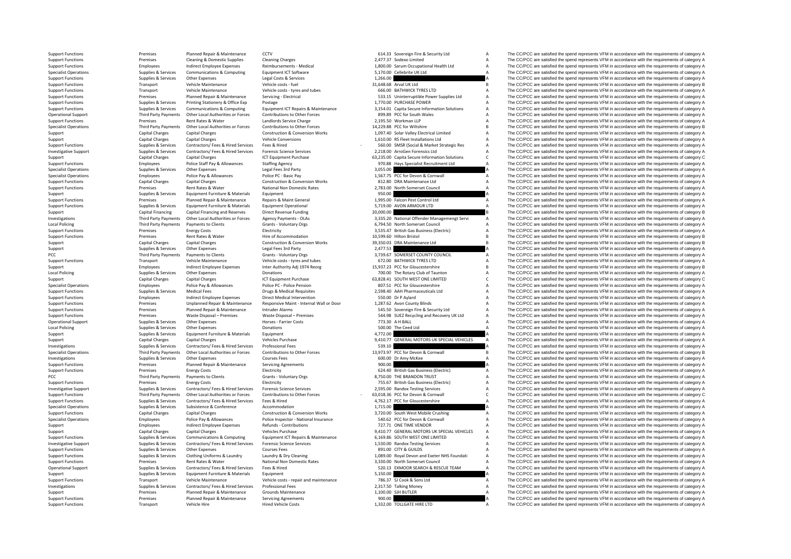Local Policing PCC **Third Party Payments** Local Policine **Local Policing** PCC Third Third Third Third Third Third Third Third Third Third Third Third Third Third Third Third Third Third

|                      | 614.33 Sovereign Fire & Security Ltd                                                     | A<br>A |
|----------------------|------------------------------------------------------------------------------------------|--------|
|                      | 2,477.37 Sodexo Limited                                                                  | A      |
|                      | 1,800.00 Sarum Occupational Health Ltd<br>5,170.00 Cellebrite UK Ltd                     | A      |
| 1,266.00             |                                                                                          | A      |
|                      | 31,648.68 Arval UK Ltd                                                                   | B      |
|                      | 666.00 BATHWICK TYRES LTD                                                                | A      |
|                      | 533.15 Uninterruptible Power Supplies Ltd                                                | A      |
|                      | 1,770.00 PURCHASE POWER                                                                  | A      |
|                      | 3,154.01 Capita Secure Information Solutions                                             | А      |
|                      | 899.89 PCC for South Wales                                                               | A<br>A |
|                      | 2,195.50 Workman LLP<br>14,229.88 PCC for Wiltshire                                      | B      |
|                      | 1,097.40 Solar Valley Electrical Limited                                                 | A      |
|                      | 1,610.00 RS Fleet Installations Ltd                                                      | A      |
|                      | 560.00 SMSR (Social & Market Strategic Res                                               | A      |
|                      | 2,218.00 ArroGen Forensics Ltd                                                           | А      |
|                      | 63,235.00 Capita Secure Information Solutions                                            | c      |
|                      | 970.88 Hays Specialist Recruitment Ltd                                                   | A      |
| 3,055.00             |                                                                                          | A      |
| 1,567.75             | PCC for Devon & Cornwall                                                                 | A<br>A |
| 2,783.00             | 812.80 DRA Maintenance Ltd<br>North Somerset Council                                     | A      |
| 950.00               |                                                                                          | A      |
|                      | 1,995.00 Falcon Pest Control Ltd                                                         | A      |
| 5,719.00             | AVON ARMOUR LTD                                                                          | A      |
| 20,000.00            |                                                                                          | B      |
| 3.335.20             | National Offender Managemengt Servi                                                      | A      |
|                      | 6,794.50 North Somerset Council                                                          | A      |
|                      | 3,535.47 British Gas Business (Electric)                                                 | A      |
|                      | 10,599.60 Hilton Bristol                                                                 | B      |
| 39,350.03            | DRA Maintenance Ltd                                                                      | B      |
| 2,477.53<br>3,739.67 | SOMERSET COUNTY COUNCIL                                                                  | A<br>A |
|                      | 739.67 SOMERSET COUNTY C.<br>672.00 BATHWICK TYRES LTD                                   | А      |
|                      | 15,937.23 PCC for Gloucestershire                                                        | B      |
|                      |                                                                                          | A      |
|                      | 700.00 The Rotary Club of Taunton<br>63,828.41 SOUTH WEST ONE LIMITED                    | c      |
|                      | 807.51 PCC for Gloucestershire<br>2,598.40 AAH Pharmaceuticals Ltd<br>550.00 Dr P Aylard | A      |
|                      |                                                                                          | A      |
|                      |                                                                                          | A      |
|                      | 1,287.62 Avon County Blinds                                                              | A      |
|                      | 545.50 Sovereign Fire & Security Ltd<br>544.98 SUEZ Recycling and Recovery UK Ltd        | A      |
|                      |                                                                                          |        |
|                      |                                                                                          | A      |
| 773.30               | A H BALL                                                                                 | A      |
| 500.00               | The Ceed Ltd                                                                             | A      |
| 4,772.00<br>9,410.77 |                                                                                          | A<br>A |
| 539.10               | GENERAL MOTORS UK SPECIAL VEHICLES                                                       | A      |
| 13,973.97            | PCC for Devon & Cornwall                                                                 | B      |
|                      | 600.00 Dr Amy McKee                                                                      | A      |
| 900.00               |                                                                                          | A      |
|                      | 624.40 British Gas Business (Electric)                                                   | A      |
| 8,750.00             | THE BRANDON TRUST                                                                        | А      |
|                      | 150.00 THE BRANDON TROST,<br>755.67 British Gas Business (Electric)                      | А      |
|                      | 2,595.00 Randox Testing Services                                                         | A      |
|                      | 63,018.36 PCC for Devon & Cornwall                                                       | C<br>A |
|                      | 4,762.17 PCC for Gloucestershire                                                         | A      |
| 1,715.00             | 3,720.00 South West Mobile Crushing                                                      | A      |
|                      | 540.62 PCC for Devon & Cornwall                                                          | A      |
| 727.71               | ONE TIME VENDOR                                                                          |        |
| 9,410.77             | GENERAL MOTORS UK SPECIAL VEHICLES                                                       | A<br>A |
| 6,169.86             | SOUTH WEST ONE LIMITED                                                                   | A      |
|                      | 1,530.00 Randox Testing Services                                                         | A      |
|                      | 891.00 CITY & GUILDS                                                                     | A      |
| 3,330.00             | 1,089.00 Royal Devon and Exeter NHS Foundati<br>North Somerset Council                   | A<br>А |
|                      | 520.13 EXMOOR SEARCH & RESCUE TEAM                                                       | A      |
| 5,150.00             |                                                                                          | A      |
| 786.37               | SJ Cook & Sons Ltd                                                                       | A      |
| 2.317.50             | <b>Talking Money</b>                                                                     | A      |
| 1,100.00             | SJH BUTLER                                                                               | А      |
| 900.00<br>1,332.00   | TOLLGATE HIRE LTD                                                                        | A<br>A |

Support Functions Premises Planned Repair & Maintenance CCTV 614.33 Sovereign Fire & Security Ltd A The CC/PCC are satisfied the spend represents VFM in accordance with the requirements of category A Support Functions Premises Cleaning & Domestic Supplies Cleaning Charges Cleaning Charges Cleaning Charges 2,477.37 Sodexo Limited A The CC/PCC are satisfied the spend represents VFM in accordance with the requirements of Support Functions Employees Indirect Employee Expenses Reimbursements - Medical 1,800.00 Sarum Occupational Health Ltd A The CC/PCC are satisfied the spend represents VFM in accordance with the requirements of category A S Specialist Operations Supplies & Supplies & Services Communications & Computing Equipment ICT Software 5,170.00 Cellebrite UK Ltd A The CC/PCC are satisfied the spend represents VFM in accordance with the requirements of c Support Functions Support Functions Support Functions Support Functions Supplies A The CC/PCC are satisfied the spend represents VFM in accordance with the requirements of category A Vehicle costs - fuel Supplies 1,266.00 Support Functions Transport Vehicle Maintenance Vehicle costs - fuel 31,648.68 Arval UK Ltd B The CC/PCC are satisfied the spend represents VFM in accordance with the requirements of category B Support Functions Transport Vehicle Maintenance Vehicle costs – tyres and tubes 666.00 BATHWICK TYRES LTD A The CC/PCC are satisfied the spend represents VFM in accordance with the requirements of category A Support Functi The CC/PCC are satisfied the spend represents VFM in accordance with the requirements of category A Support Functions Supplies & Services Printing Stationery & Office Exp Postage 1,770.00 PURCHASE POWER A The CC/PCC are satisfied the spend represents VFM in accordance with the requirements of category A Supplies & Services Communications & Computing Equipment ICT Repairs & Maintenance 3.154.01 Capita Secure Information Solutions A The CC/PCC are satisfied the spend represents VFM in accordance with the requirements of cat Operational Support Third Party Payments Other Local Authorities or Forces Contributions to Other Forces same and the SUP of Control and the SUP of Control and the SUP of Control and the SUP of Control and the SUP of Contr Support Functions Premises Rent Rates & Water Landlords Service Charge 2,195.50 Workman LLP A The CC/PCC are satisfied the spend represents VFM in accordance with the requirements of category A Specialist Operations Third Third Party Payments Other Local Authorities or Forces Contributions to Other Forces 14,229.88 PCC for Wiltshire B The CC/PCC are satisfied the spend represents VFM in accordance with the requirements of category B 19740 S Support Capital Charges Capital Charges Construction & Conversion Works 1,097.40 Solar Valley Electrical Limited A The CC/PCC are satisfied the spend represents VFM in accordance with the requirements of category A Support Capital Charges Capital Charges Vehicle Conversions Vehicle Conversions 1,610.00 RS Fleet Installations Ltd A The CC/PCC are satisfied the spend represents VFM in accordance with the requirements of category A Supplies & Services Contractors Fees & Hired Services Fees & Hired Hired Hired Contractors Fees & Hired Services Fees & Hired Hired Hired Contractors Fees & Hired Services Fees & Hired Hired Contractors Fees & Hired Servic Supplies & Services Contractors/ Fees & Hired Services Forensic Science Services experies the contractors/ Fees & Hired Services Forensic Science Services 2,218.00 ArroGen Forensics Ltd A The CC/PCC are satisfied the spend Support Capital Charges Capital Charges Capital Charges ICT Equipment Purchase 63,235.00 Capita Secure Information Solutions C The CC/PCC are satisfied the spend represents VFM in accordance with the requirements of catego Employees Police Staff Pay & Allowances Staffing Agency Support States and States of the Support A The CC/PCC are satisfied the spend represents VFM in accordance with the requirements of category A Specialist Operations Supplies & Services Other Expenses Legal Fees 3rd Party and the Steven and The CC/PCC are satisfied the spend represents VFM in accordance with the requirements of category A Supplies & Services Polic Specialist Operations Employees Police Pay & Allowances Police Pc - Basic Pay 1,567.75 PCC for Devon & Cornwall A The CC/PCC are satisfied the spend represents VFM in accordance with the requirements of category A Support Functions Capital Charges Capital Charges Capital Charges Construction & Conversion Works 812.80 DRA Maintenance Ltd A The CC/PCC are satisfied the spend represents VFM in accordance with the requirements of catego Premises Rent Rates & Water Mational Non Domestic Rates 2,783.00 North Somerset Council A The CC/PCC are satisfied the spend represents VFM in accordance with the requirements of category A Supplies & Services Equipment Fu Support Supplies & Services Equipment Furniture & Materials Equipment Equipment equipment equipment equipment equipment equipment of category A The CC/PCC are satisfied the spend represents VFM in accordance with the requi Premises Planned Repair & Maintenance Repairs & Maint General 1,995.00 Falcon Pest Control Ltd A The CC/PCC are satisfied the spend represents VFM in accordance with the requirements of category A Support Functions Supplies & Services Equipment Furniture & Materials Equipment Operational 5,719.00 AVON ARMOUR LTD A The CC/PCC are satisfied the spend represents VFM in accordance with the requirements of category B<br>Sup Support Capital Financing Capital Financing and Reserves Direct Revenue Funding 20,000.00 B The CC/PCC are satisfied the spend represents VFM in accordance with the requirements of category B and the requirements of catego The CC/PCC are satisfied the spend represents VFM in accordance with the requirements of category A Local Policing Third Party Payments Payments of Payments of Clients Grants Voluntary Orgs 6,794.50 North Somerset Council A The CC/PCC are satisfied the spend represents VFM in accordance with the requirements of category Support Functions Premises Energy Costs Energy Costs Electricity Electricity Electricity and the states and the environment of category A S,535.47 British Gas Business (Electricity A The CC/PCC are satisfied the spend repr Premises Rent Rates & Water Hire of Accommodation Hire of Accommodation 10,599.60 Hilton Bristol B The CC/PCC are satisfied the spend represents VFM in accordance with the requirements of category B Capital Charges Capital Support Capital Charges Capital Charges Capital Charges Construction & Conversion Works 39,350.03 DRA Maintenance Ltd B The CC/PCC are satisfied the spend represents VFM in accordance with the requirements of category B Support Supplies & Services Other Expenses Legal Fees 3rd Party 2,477.53 A The CC/PCC are satisfied the spend represents VFM in accordance with the requirements of category A<br>2.739.67 SOMERSET COUNTY COUNCILLE A The CC/PCC Payments to Clients Grants - Voluntary Orgs 3,739.67 SOMERSET COUNTY COUNCIL A The CC/PCC are satisfied the spend represents VFM in accordance with the requirements of category A Support Functions Transport Vehicle Maintenance Vehicle costs – tyres and tubes 672.00 BATHWICK TYRES LTD A The CC/PCC are satisfied the spend represents VFM in accordance with the requirements of category A Support Transp Support Employees Indirect Employee Inter Authority Adj 1974 Reorg 15,937.23 PC for Gloucestershire B The CC/PCC are satisfied the spend represents VFM in accordance with the requirements of category B Policing Supplies Agences Other Expenses Donations Donations Donations Donations Donations 200.00 The Rotary Club of Taunton A The CC/PCC are satisfied the spend represents VFM in accordance with the requirements of catego Support Capital Charges Capital Charges Capital Charges ICT Equipment Purchase 63,828.41 SOUTH WEST ONE LIMITED C The CC/PCC are satisfied the spend represents VFM in accordance with the requirements of category C Special Employees Police Pay & Allowances Police PC - Police Pension 807.51 PCC for Gloucestershire A The CC/PCC are satisfied the spend represents VFM in accordance with the requirements of category A Support Functions Supplies & Services Medical Fees Drugs & Medical Requisites 2,598.40 AAH Pharmaceuticals Ltd A The CC/PCC are satisfied the spend represents VFM in accordance with the requirements of category A Support Functions Employees Indirect Employee Expenses Direct Medical Intervention S50.00 Dr P Aylard Support Presents A The CC/PCC are satisfied the spend represents VFM in accordance with the requirements of category A S Premises Unplanned Repair & Maintenance Responsive Maint - Internal Wall or Door 1,287.62 Avon County Blinds Are The CC/PCC are satisfied the spend represents VFM in accordance with the requirements of category A Support Functions Premises Planned Repair & Maintenance Intruder Alarms 545.50 Sovereign Fire & Security Ltd A The CC/PCC are satisfied the spend represents VFM in accordance with the requirements of category A Support Functions Premises Waste Disposal – Premises Waste Disposal – Premises Waste Disposal – Premises States 544.98 SUEZ Recycling and Recovery UK Ltd A The CC/PCC are satisfied the spend represents VFM in accordance wi The CC/PCC are satisfied the spend represents VFM in accordance with the requirements of category A Policing Supplies & Services Other Expenses Donations 500.00 The Ceed Ltd A The CC/PCC are satisfied the spend represents VFM in accordance with the requirements of category A Support Supplies & Supplies & Services Equipment Furniture & Materials Equipment Equipment Approximate and the spend of the CC/PCC are satisfied the spend represents VFM in accordance with the requirements of category A Th Support Capital Charges Capital Charges Vehicles Purchase 9,410.77 GENERAL MOTORS UK SPECIAL VEHICLES A The CC/PCC are satisfied the spend represents VFM in accordance with the requirements of category A Investigations Supplies & Supplies & Services Contractors/ Fees & Hired Services Professional Fees Microsoftees Professional Fees 539.10 A The CC/PCC are satisfied the spend represents VFM in accordance with the requiremen The CC/PCC are satisfied the spend represents VFM in accordance with the requirements of category B Investigations Supplies & Services Other Expenses Courses Fees Courses Fees 600.00 Dr Amy McKee A The CC/PCC are satisfied the spend represents VFM in accordance with the requirements of category A Support Functions Premises Planned Repair & Maintenance Servicing Agreements 900.00 900.00 A The CC/PCC are satisfied the spend represents VFM in accordance with the requirements of category A Support Functions Premises Energy Costs Electricity Electricity **Electricity** 624.40 British Gas Business (Electricity A The CC/PCC are satisfied the spend represents VFM in accordance with the requirements of category A Party Payments Payments to Clients Grants - Voluntary Orgs 8,750.00 THE BRANDON TRUST A The CC/PCC are satisfied the spend represents VFM in accordance with the requirements of category A Support Functions Premises Premises Premises Premises Energy Costs Electricity Premises Electricity Premises Electricity Costs Electricity and the Support The CC/PCC are satisfied the spend represents VFM in accordance wit Investigative Support Support Support Supporte Supportes Supportes Supporters Contractors/ Fees & Hired Services Forensic Science Services on 2,595.00 Randox Testing Services A The CC/PCC are satisfied the spend represents Third Party Payments Other Local Authorities or Forces Contributions to Other Forces - 63,018.36 PCC for Devon & Connual C The CC/PCC are satisfied the spend represents VFM in accordance with the requirements of category C Support Functions Supplies & Services Contractors/ Fees & Hired Services Fees & Hired Manual A The COLOGIC are satisfied the spend represents VFM in accordance with the requirements of category A Support Function Support A The CC/PCC are satisfied the spend represents VFM in accordance with the requirements of category A Support Functions Capital Charges Capital Charges Construction & Conversion Works 3,720.00 South West Mobile Crushing A The CC/PCC are satisfied the spend represents VFM in accordance with the requirements of category A Specialist Operations The Composition of the engineements of category A Police Pay & Allowances Police Inspector Pational Insurance Support and the Support of The CC/PCC are satisfied the spend represents VFM in accordance The CC/PCC are satisfied the spend represents VFM in accordance with the requirements of category A Support Capital Charges Capital Charges Vehicles Purchase Vehicles Purchase 9,410.77 GENERAL MOTORS UK SPECIAL VEHICLES A The CC/PCC are satisfied the spend represents VFM in accordance with the requirements of category A<br> Supplies & Services Communications & Computing Equipment ICT Repairs & Maintenance 6,169.86 SOUTH WEST ONE LIMITED A The CC/PCC are satisfied the spend represents VFM in accordance with the requirements of category A categ The CC/PCC are satisfied the spend represents VFM in accordance with the requirements of category A Support Functions Supplies & Services Other Expenses Courses Fees Courses Fees Support Functions A The CC/PCC are satisfied the spend represents VFM in accordance with the requirements of category A Support Functions Suppo Supplies & Supplies & Supplies Cothing Uniforms & Laundry Laundry Bary Cleaning and the man of the COPC are stilled the spend the reputers of category A and the requirements of category A and the requirements of category A Premises Rent Rates & Water National Non Domestic Rates 3,330.00 North Somerset Council A The CC/PCC are satisfied the spend represents VFM in accordance with the requirements of category A Operational Support Supplies & Services Contractors/ Fees & Hired Services Fees & Hired 520.13 EXMOOR SEARCH & RESCUE TEAM A The CC/PCC are satisfied the spend represents VFM in accordance with the requirements of category Support Supplies & Services Equipment Furniture & Materials Equipment 5,150.00 5,150.00 A The CC/PCC are satisfied the spend represents VFM in accordance with the requirements of category A Support Functions Transport Vehicle Maintenance Vehicle Costs - repair and maintenance 786.37 SJ Cook & Sons Ltd A The CC/PCC are satisfied the spend represents VFM in accordance with the requirements of category A Cover a Investigations Supplies & Services Contractors/ Fees & Hired Services Professional Fees 2,317.50 Talking Money 2,317.50 Talking Money A The CC/PCC are satisfied the spend represents VFM in accordance with the requirements Support Premises Planned Repair & Maintenance Grounds Maintenance 1,100.00 SJH BUTLER A The CC/PCC are satisfied the spend represents VFM in accordance with the requirements of category A Support Functions Premises Planned Repair & Maintenance Servicing Agreements 900.00 A The CC/PCC are satisfied the spend represents VFM in accordance with the requirements of category A Support Functions Transport Vehicle Hire Hired Vehicle Costs Hired Vehicle Costs 1,332.00 TOLLGATE HIRE LTD A The CC/PCC are satisfied the spend represents VFM in accordance with the requirements of category A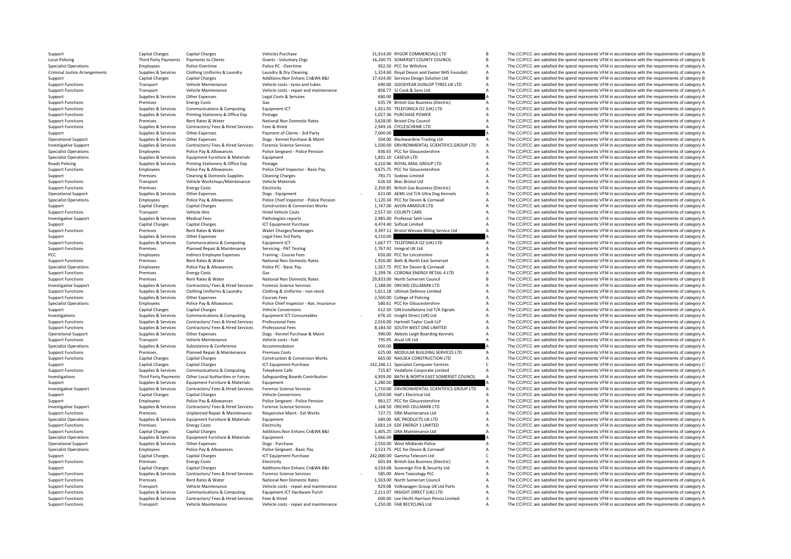**Local Policing** Criminal JusticeRoads Policing

Support Capital Charges Capital Charges Vehicles Purchase 31,914.00 RYGOR COMMERCIALS LTD B The CC/PCC are satisfied the spend represents VFM in accordance with the requirements of category B Crants Vienter Charges Capital Policing Third Party Payments to Clients Crants • Voluntary Orgs 16,260.75 SOMERSET COUNTY COUNCIL B The CC/PCC are satisfied the spend represents VFM in accordance with the requirements of category B Delice Drepty of Deli Specialist Operations Employees Police Overtime Police PC – Overtime Police PC – Overtime 952.50 PCC for Wiltshire A The CC/PCC are satisfied the spend represents VFM in accordance with the requirements of category A Crimi Supplies & Services Clothing Uniforms & Laundry Laundry & Dry Cleaning Laundry Apple and Execter MHS Foundati A The CC/PCC are satisfied the spend represents VFM in accordance with the requirements of category A<br>Capital Ch Support Capital Charges Capital Charges Capital Charges Additions:Non Enhanc Cn&Wk B&I 17,424.00 Services Design Solution Ltd B The CC/PCC are satisfied the spend represents VFM in accordance with the requirements of categ Support Functions Transport Vehicle Maintenance Vehicle costs – tyres and tubes 690.00 GOODYEAR DUNLOP TYRES UK LTD A The CC/PCC are satisfied the spend represents VFM in accordance with the requirements of category A Support Functions Transport Vehicle Maintenance Vehicle costs - repair and maintenance and and and assess and a SSC.77 SJ Cook & Sons Ltd A The CC/PCC are satisfied the spend represents VFM in accordance with the requireme Support Support Support Other Expenses Legal Costs & Services 680.00 A The CC/PCC are satisfied the spend represents VFM in accordance with the requirements of category A Support Functions Premises Energy Costs Gas Gas 635.79 British Gas Business (Electric) A The CC/PCC are satisfied the spend represents VFM in accordance with the requirements of category A Support Functions Support Functio Support Functions Supplies & Services Communications & Computing Equipment ICT 1,921.05 TELEFONICA O2 (UK) LTD A The CC/PCC are satisfied the spend represents VFM in accordance with the requirements of category A<br>Support F Support Functions Supplies Services Distingent Reserves Printing Stationery & Office Exp Postage Prince Expendial Come and The CC/PCC are satisfied the services with the sequirements of category A The CC/PCC are satisfied Support Functions Premises Rent Rates & Water National Non Domestic Rates 3,628.00 Bristol City Council A The CC/PCC are satisfied the spend represents VFM in accordance with the requirements of category A Support Function Supplies & Services Contractors/ Fees & Hired Services Fees & Hired Pees & Hired Fees & Hired Pees A Hired 2,949.16 CYCLESCHEME LTD A The CC/PCC are satisfied the spend represents VFM in accordance with the requirements of Support Supplies & Services Other Expenses Payment of Claims - 3rd Party 7,000.00 The CC/PCC are satisfied the spend represents VFM in accordance with the requirements of category A Supplies & Services Other Expenses Does Operational Support Supplies & Supplies & Services Other Expenses Dogs - Kennel Purchase & Maint 504.00 Blackwardine Trading Ltd A The CC/PCC are satisfied the spend represents VFM in accordance with the requirements of ca Investigative Support The Company of the Support Support Support of Support Support Support Support Support Support Support Support Support Support Support Support Support Support Support Support Support Support Support Su Specialist Operations Employees Police Pay & Allowances Police Sergeant - Police Pension 836.65 PCC for Gloucestershire A The CC/PCC are satisfied the spend represents VFM in accordance with the requirements of category A Specialist Operations Supplies & Services Equipment Furniture & Materials Equipment Equipment Comment 1,831.10 CASEVA LTD A The CC/PCC are satisfied the spend represents VFM in accordance with the requirements of category Policing Supplies & Services Printing Stationery & Office Exp Postage Principles and Police Chief Principles and Police Chief Inspector - Basic Pay 4,210.96 ROYAL MAIL GROUP LTD A The CC/PCC are satisfied the spend represe Support Functions Employees Police Pay & Allowances Police Chief Inspector - Basic Pay 4,675.75 PCC for Gloucestershire A The CC/PCC are satisfied the spend represents VFM in accordance with the requirements of category A Support Premises Cleaning & Domestic Supplies Cleaning Charges 781.71 Sodexo Limited A The CC/PCC are satisfied the spend represents VFM in accordance with the requirements of category A Support Functions Transport Vehicle Workshops/Maintenance Vehicle Materials 626.50 Btac Bristol Ltd A The CC/PCC are satisfied the spend represents VFM in accordance with the requirements of category A Support Functions Fu Support Functions Premises Energy Costs Energy Costs Electricity Electricity Electricity 2,350.85 British Gas Business (Electric) A The CC/PCC are satisfied the spend represents VFM in accordance with the requirements of c Operational Support Support Support Support Support Support Support Support Support Support Support Support Support Support Support Support Support Support Support Support Support Support Support Support Support Support Su Employees Police Pay & Allowances Police Chief Inspector - Police Pension 1.120.34 PCC for Devon & Cornwall A The CC/PCC are satisfied the spend represents VFM in accordance with the requirements of category A Support Capital Charges Capital Charges Capital Charges Construction & Conversion Works 1,747.00 AVON ARMOUR LTD A The CC/PCC are satisfied the spend represents VFM in accordance with the requirements of category A Support Support Functions Transport Vehicle Hire Hired Vehicle Costs Hired Vehicle Costs 2,557.50 COUNTY CARS A The CC/PCC are satisfied the spend represents VFM in accordance with the requirements of category A Decree Investigati 2,985.00 Professor Seth Love **A** The CC/PCC are satisfied the spend represents VFM in accordance with the requirements of category A The CripCC are satisfied the spend represents VFM in accordance with the requirements of Support Capital Charges Capital Charges Capital Charges ICT Equipment Purchase 1,474.40 Softcat Limited A The CC/PCC are satisfied the spend represents VFM in accordance with the requirements of category A Support Function Support Functions Premises Rent Rates & Water Water Water Charges/Sewerages 3,397.11 Bristol Wessex Billing Service Ltd A The CC/PCC are satisfied the spend represents VFM in accordance with the requirements of category A Support Supplies & Services Other Expenses Legal Fees 3rd Party 1997 and A The CC/PCC are satisfied the spend represents VFM in accordance with the requirements of category A<br>Support Functions Supplies & Services Communica Equipment ICT TELEFONICA O2 (UK) LTD A The CC/PCC are satisfied the spend represents VFM in accordance with the requirements of category A<br>Servicing - PAT Testing Manufactures A The CC/PCC are satisfied the spend represent Support Functions Premises Planned Repair & Maintenance Servicing - PAT Testing 1,767.92 Integral UK Ltd A The CC/PCC are satisfied the spend represents VFM in accordance with the requirements of category A PCC PCC Training Fees Training - Course Fees 650.00 PCC for Lincolnshire A The CC/PCC are satisfied the spend represents VFM in accordance with the requirements of category A Support Functions Premises Rent Rates & Water National Non Domestic Rates 1,926.00 Bath & North East Somerset A The CC/PCC are satisfied the spend represents VFM in accordance with the requirements of category A The Criter Specialist Operations Employees Police Pay & Allowances Police PC - Basic Pay Police PC - Basic Pay Police PC - Basic Pay 1,567.75 PCC for Devon & Cornwall A The CC/PCC are satisfied the spend represents VFM in accordance Support Functions Support Contents Contents Contents Gas Cases Contents Contents Contents Contents Contents Contents Contents Contents Contents Contents Contents Contents Contents Contents Contents Contents Contents Conten Support Functions Premises Premises Rent Rates & Water National Non Domestic Rates 29,833.00 North Somerset Council B The CC/PCC are satisfied the spend represents VFM in accordance with the requirements of category B Inve Investigative Support Support Support Supporter Support Support Support Contractors Contractors/ Fees & Hired Services Forensic Science Services (Science Services Contractors/ Fees Re Hired Services Forensic Science Servic Supplier & Services Clothing Uniforms & Laundry Clothing & Uniforms - non-stock 1.611.18 Ultimat Defence I imited A The CC/PCC are satisfied the spend represents VFM in accordance with the requirements of category A Support Functions Supplies & Services Other Expenses Courses Fees Courses Courses Courses Courses Courses Courses Courses Courses 2,500.00 College of Policing A The CC/PCC are satisfied the spend represents VFM in accordan Employees Police Pay & Allowances Police Chief Inspector - Nat. Insurance 580.61 PCC for Gloucestershire A The CC/PCC are satisfied the spend represents VFM in accordance with the requirements of category A Support Capital Charges Capital Charges Vehicle Conversions Vehicle Conversions 612.50 SJN Installations Ltd T/A Signals A The CC/PCC are satisfied the spend represents VFM in accordance with the requirements of category A Supplies & Services Communications & Computing Equipment ICT Consumables - 676.10 Insight Direct (UK) Ltd - A The CC/PCC are satisfied the spend represents VFM in accordance with the requirements of category A Supplies & S Contractors/ Fees & Hired Services Professional Fees examples and the compart of category A a The CC/PCC are satisfied the spend represents VFM in accordance with the requirements of category A a contractors/ Fees & Hired Support Functions Supplies & Services Contractors/ Fees & Hired Services Professional Fees Professional Fees Analit Base of the Support Functions and the spend represents VFM in accordance with the requirements of category Operational Support Supplies & Services Other Expenses Dogs - Kennel Purchase & Maint 990.00 Abbots Leigh Boarding Kennels A The CC/PCC are satisfied the spend represents VFM in accordance with the requirements of category Transport Vehicle Maintenance Vehicle costs - fuel 795.95 Arval UK Ltd A The CC/PCC are satisfied the spend represents VFM in accordance with the requirements of category A Specialist Operations Supplies & Supplies & Subsistence & Conference Accommodation Accommodation Accommodation<br>Support Functions Support Permises Planned Repair & Maintenance Premises Costs Support CSCS.00 MODULAR BUILDING Support Functions Premises Planned Repair & Maintenance Premises Costs Costs 625.00 MODULAR BUILDING SERVICES LTD A The CC/PCC are satisfied the spend represents VFM in accordance with the requirements of category A<br>Suppor Capital Charges Construction & Conversion Works 665.00 NAILSEA CONSTRUCTION LTD A The CC/PCC are satisfied the spend represents VFM in accordance with the requirements of category A Support Capital Charges Capital Charges Capital Charges ICT Equipment Purchase 142,246.11 Specialist Computer Centres C The CC/PCC are satisfied the spend represents VFM in accordance with the requirements of category C<br>Su Support Functions Supplies & Services Communications & Computing Telephone Calls 725.87 Vodafone Corporate Limited A The CC/PCC are satisfied the spend represents VFM in accordance with the requirements of category A Inves Third Party Payments Other Local Authorities or Forces Safeguarding Boards Contribution 4,959.00 BATH & NORTH EAST SOMERSET COUNCIL A The CC/PCC are satisfied the spend represents VFM in accordance with the requirements of Support Supplies & Services Equipment Furniture & Materials Equipment Equipment equipment equipment equipment equipment and the materials and the spend of the SC/PCC are satisfied the spend represents VFM in accordance wit Investigative Support Support Support Support Support Support Support Support Support Support Support Support Support Support Support Support Support Support Support Support Support Catal Charges Capital Charges Capital Ch Support Capital Charges Capital Charges Vehicle Conversions Vehicle Conversions 1,050.00 Hall's Electrical Ltd A The CC/PCC are satisfied the spend represents VFM in accordance with the requirements of category A Support C Support Police Pay & Allowances Police Pergeant - Police Pension 861.27 PCC for Gloucestershire A The CC/PCC are satisfied the spend represents VFM in accordance with the requirements of category A Development Support Serv A The CC/PCC are satisfied the spend represents VFM in accordance with the requirements of category A Support Functions Premises Unplanned Repair & Maintenance Responsive Maint · Ext Works 727.71 DRA Maintenance Ltd A The CC/PCC are satisfied the spend represents VFM in accordance with the requirements of category A Specia Specialist Operations Supplies & Services Equipment Furniture & Materials Equipment Equipment Supplies And Equipment Category A Services and the CC/PCC are satisfied the spend represents VFM in accordance with the requirem Premises Energy Costs Electricity Electricity and the Support Run and the COSTS and the Support The CC/PCC are satisfied the spend represents VFM in accordance with the requirements of category A Support Functions Capital Charges Capital Charges Additions:Non Enhanc Cn&Wk B&I 1,405.25 DRA Maintenance Ltd A The CC/PCC are satisfied the spend represents VFM in accordance with the requirements of category A Specialist Specialist Operations Supplies & Supplies & Services Equipment Furniture & Materials Equipment Equipment Equipment Supplies Equipment Supplies Equipment Supplies A The CC/PCC are satisfied the spend represents VFM in accor Operational Support Support Support Support Support Support Support Support Support Support Support A The CC/PCC are satisfied the spend represents VFM in accordance with the requirements of category A Police Serves and Co Specialist Operations Employees Police Pay & Allowances Police Sergeant - Basic Pay 3,523.75 PCC for Devon & Cornwall A The CC/PCC are satisfied the spend represents VFM in accordance with the requirements of category A Support Capital Charges Capital Charges Capital Charges Capital Charges ICT Equipment Purchase 242,000.00 Gamma Telecom Ltd C The CC/PCC are satisfied the spend represents VFM in accordance with the requirements of categor Support Functions Premises Energy Costs Electricity Electricity Electricity Electricity 601.94 British Gas Business (Electricity A The CC/PCC are satisfied the spend represents VFM in accordance with the requirements of ca Support Capital Charges Capital Charges Additions:Non Enhanc Cn&Wk B&I 4,534.68 Sovereign Fire & Security Ltd A The CC/PCC are satisfied the spend represents VFM in accordance with the requirements of category A Support Fi Suppliers & Services Contractors/ Fees & Hired Services Forensic Science Services Forensic Science Services - SRS.00 Alere Toxicology PLC - The CC/PCC are satisfied the spend represents VFM in accordance with the requireme Support Functions Premises Rent Rates & Water Mational Non Domestic Rates 1,503.00 North Somerset Council A The CC/PCC are satisfied the spend represents VFM in accordance with the requirements of category A Support Functi Transport Vehicle Maintenance Vehicle Costs - repair and maintenance and and announce and the compution of the CC/PCC are satisfied the spend represents VFM in accordance with the requirements of category A<br>Support Functio Support Functions Supplies & Services Communications & Computing Equipment ICT Hardware Purch 2,211.07 INSIGHT DIRECT (UK) LTD A The CC/PCC are satisfied the spend represents VFM in accordance with the requirements of cate Supplies & Supplies & Supplies & Supplies & Supplies & Contractors/ Fees & Hired Services Fees & Hired Services Fees & Hired Services Fees & Hired Munteral mediante and the Heath Harms and COMPON Cupper COMPON A The COMPOC Transport Vehicle Maintenance Vehicle costs ‐ repair and maintenance 1,250.00 FAB RECYCLING Ltd A The CC/PCC are satisfied the spend represents VFM in accordance with the requirements of category A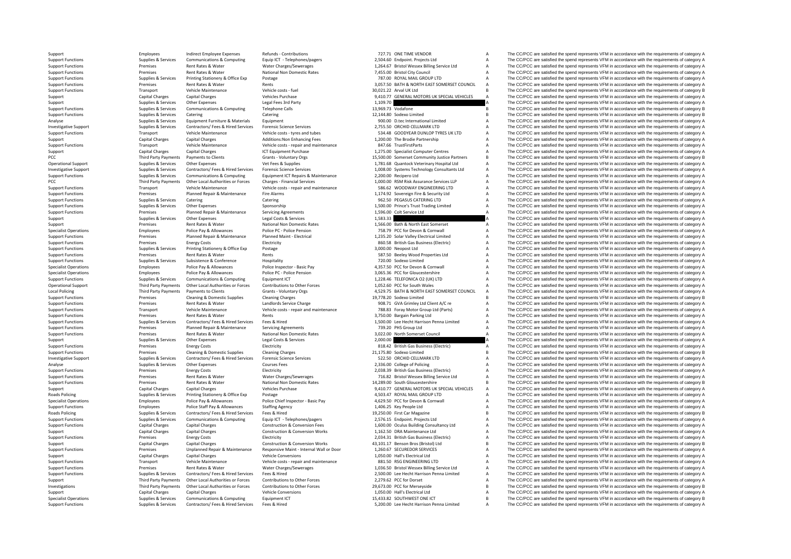PCC Third Third Third Third Third Third Third Third Third Third Third Third Third Third Third Third Third Third PCC Third Party Payments<br>
Support Functions<br>
Transnort Local Policing **Roads Policing Roads** Policing

Support Employees Indirect Employee Expenses Refunds - Contributions 727.71 ONE TIME VENDOR A The CC/PCC are satisfied the spend represents VFM in accordance with the requirements of category A Support Functions Support Ex Support Engines and Supplies Services Communications Support TelephoneSyagers 2,504.60 Engines 2,504.60 Engines<br>The COPEN State of the Services of the Services Services Services (Support TelephoneSyagers 1.264.67 British M Support Functions Rent Rates Rent Rates & Water Water Charges/Sewerages 1,264.67 Bristol Wessex Billing Service Ltd A The CC/PCC are satisfied the spend represents VFM in accordance with the requirements of category A Support Functions Premises Rent Rates & Water National Non Domestic Rates 7,455.00 Bristol City Council A The CC/PCC are satisfied the spend represents VFM in accordance with the requirements of category A Support Function Support Functions Support Functions Supplies Textions Textions Textions Printing Stationery A The CC/PCC are satisfied the spend represents VFM in accordance with the requirements of category A 3,057.50 BATH & NORTH EAST S Support Functions Premises Rent Rates & Water Rents Rents Rents Rents 2,057.50 BATH & NORTH EAST SOMERSET COUNCIL A The CC/PCC are satisfied the spend represents VFM in accordance with the requirements of category A Support Tunctions Transport Vehicle Maintenance Vehicle costs fuel and the spend of the spend of the spend represents VFM in accordance with the requirements of category B The CC/PCC are satisfied the spend represents VFM Support Capital Charges Capital Charges Vehicles Purchase 9,410.77 GENERAL MOTORS UK SPECIAL VEHICLES A The CC/PCC are satisfied the spend represents VFM in accordance with the requirements of category A Support Supplies & Services Other Expenses Legal Fees 3rd Party 1,109.70 A The CC/PCC are satisfied the spend represents VFM in accordance with the requirements of category A Supplies & Services Other Expenses Legal Fees 3 Support Functions Supplies & Services Communications & Computing Telephone Calls 13,969.73 Vodafone B The CC/PCC are satisfied the spend represents VFM in accordance with the requirements of category B Support Functions Supplies & Services Catering Catering Catering Catering Catering Catering Catering Catering Catering 12,144.80 Sodexo Limited B The CC/PCC are satisfied the spend represents VFM in accordance with the req Analyse Supplies & Services Equipment Furniture & Materials Equipment Equipment Category A Supplies Analyse Content A The CC/PCC are satisfied the spend represents VFM in accordance with the requirements of category A Inve 1.755.50 ORCHID CELLMARK LTD A The CC/PCC are statistied the spend represents VFM in accordance with the requirements of category A Supplies & Supplies & Services Contractors/ Fees & Hired Services Forensic Science Service A The CC/PCC are satisfied the spend represents VFM in accordance with the requirements of category A Support Capital Charges Capital Charges Capital Charges Additions:Non Enhancing Fees 1,200.00 The Brodie Partnership A The CC/PCC are satisfied the spend represents VFM in accordance with the requirements of category A Sup Transport Vehicle Maintenance Vehicle costs ‐ repair and maintenance a satisfied the spend represents VFM in accordance with the requirements of category A The CC/PCC are satisfied the spend represents VFM in accordance wi Support Capital Charges Capital Charges ICT Equipment Purchase 1,275.00 Specialist Computer Centres A The CC/PCC are satisfied the spend represents VFM in accordance with the requirements of category A Third Party Payments Payments to Clients Grants Voluntary Orgs 15,500.00 Somerset Community Justice Partners B The CC/PCC are satisfied the spend represents VFM in accordance with the requirements of category B<br>Supplies & Operational Support Supplies & Supplies Associates Other Expenses Vet Fees & Supplies Vet Fees & Supplies Vet Fees & Supplies 1,781.68 Quantock Veterinary Hospital Ltd A The CC/PCC are satisfied the spend represents VFM in Example the COPCC are satisfied the spend represents UFM in accordance with the requirements of category A Supplies & Services Contractors/ Fees & Hired Services Forensic Science Services of Contractors/ Fees & Hired Servi Support Functions Supplies & Services Communications & Computing Equipment ICT Repairs & Maintenance 2,200.00 Recipero Ltd A The CC/PCC are satisfied the spend represents VFM in accordance with the requirements of category Other Local Authorities or Forces Charges - Financial Services 1,000.00 RSM Risk Assurance Services LLP A The CC/PCC are satisfied the spend represents VFM in accordance with the requirements of category A Support Functions Transport Vehicle Maintenance Vehicle costs - repair and maintenance 586.62 WOODWAY ENGINEERING LTD A The CC/PCC are satisfied the spend represents VFM in accordance with the requirements of category A Su Support Functions Premises Planned Repair & Maintenance Fire Alarms 1,174.92 Sovereign Fire & Security Ltd A The CC/PCC are satisfied the spend represents VFM in accordance with the requirements of category A Support Funct Support Functions Supplies CATERING LTD A The CC/PCC are satisfied the spend represents VFM in accordance with the requirements of category A The CC/PCC are satisfied the spend represents VFM in accordance with the require Support Functions Supplies & Services Other Expenses Sponsorship 1,500.00 Prince's Trust Trading Limited A The CC/PCC are satisfied the spend represents VFM in accordance with the requirements of category A Support Functio Support Functions Premises Planned Repair & Maintenance Servicing Agreements 1,596.00 Colt Service Ltd A The CC/PCC are satisfied the spend represents VFM in accordance with the requirements of category A Support Support S Support Support Support Support Support The COVEC are satisfied the spend represents VFM in accordance with the requirements of category A<br>
Rent Rates & Mater Matingal Non Domestic Rates 1,566.00 Bath & North Fast Somerset Support Premises Rent Rates Rent Rates National Non Domestic Rates 1,560.00 Bath & North East Somerset A The CC/PCC are satisfied the spend represents VFM in accordance with the requirements of category A Specialist Operations Specialist Operations Followers Police Pay & Allowances Police Persion Police Pension Police Pension Police Pension Police Pension 758.79 PCC for Devon & Cornwall A The CC/PCC are satisfied the spend Support Functions Support Premises Planned Repair & Maintenance Planned Maint - Electrical and the control of the CCPCC are satisfied the spend represents VFM in accordance with the requirements of category A<br>Support Funct Premises Energy Costs Energy Costs Electricity Electricity and Electricity and the COLOGN British Gas Business (Electric) A The CC/PCC are satisfied the spend represents VFM in accordance with the requirements of category Support Functions Supplies & Services Printing Stationery & Office Exp Postage 2013 Control and Support Ltd A The CC/PCC are satisfied the spend represents VFM in accordance with the requirements of category A Support Func Premises Rent Rates & Water Rents Rents Rents Support Rents Contains a Sample of the CC/PCC are satisfied the spend represents VFM in accordance with the requirements of category A Support Functions Supplies & Subsistence Subsistence Subsistence Hospitality Hospitality and the conference and the spend of the CC/PCC are satisfied the spend represents VFM in accordance with the requirements of category Specialist Operations Employees Police Pay & Allowances Police Inspector • Basic Pay 4,357.50 PCC for Devon & Cornwall A The CC/PCC are satisfied the spend represents VFM in accordance with the requirements of category A Specialist Operations Employees Police Pay & Allowances Police PC - Police PC - Police Pension 2008 Police Pension 3,065.36 PCC for Gloucestershire A The CC/PCC are satisfied the spend represents VFM in accordance with the Support Functions Supplies & Supplies & Services Communications & Computing Equipment ICT Equipment ICT 1,228.46 TELEFONICA O2 (UK) LTD A The CC/PCC are satisfied the spend represents VFM in accordance with the requirement Operational Support Third Party Payments Other Local Authorities or Forces Contributions to Other Forces 1,052.60 PCC for South Wales A The CC/PCC are satisfied the spend represents VFM in accordance with the requirements Policing Third Party Payments to Clients Grants - Voluntary Orgs 4529.75 BATH & NORTH FAST SOMERSET COUNCIL A The CC/PCC are satisfied the spend represents VFM in accordance with the requirements of category A Support Functions Premises Cleaning & Domestic Supplies Cleaning Charges Cleaning Charges Cleaning Charges 19,778.20 Sodexo Limited B The CC/PCC are satisfied the spend represents VFM in accordance with the requirements of The CC/PCC are satisfied the spend represents VFM in accordance with the requirements of category A Support Functions Transport Vehicle Maintenance Vehicle costs - repair and maintenance 788.83 Foray Motor Group Ltd (Parts) A The CC/PCC are satisfied the spend represents VFM in accordance with the requirements of categor Support Functions Premises Rent Rates & Water Rents Rents Rents Rents Rents and States Rent Rates and The COPCC are satisfied the spend represents VFM in accordance with the requirements of category A Support Functions Sup 500.00 Lee Hecht Harrison Penna Limited A The CC/PCC are satisfied the spend represents VFM in accordance with the requirements of category A<br>739.20 PHS Group Ltd Category A The CC/PCC are satisfied the spend represents VF Support Functions Premises Planned Repair & Maintenance Servicing Agreements 739.20 PHS Group Ltd A The CC/PCC are satisfied the spend represents VFM in accordance with the requirements of category A Support Functions Prem Support Functions Premises Rent Rates & Water National Non Domestic Rates 3,022.00 North Somerset Council A The CC/PCC are satisfied the spend represents VFM in accordance with the requirements of category A Support Functi Support Supplies & Services Other Expenses Legal Costs & Services 2,000.00 A The CC/PCC are satisfied the spend represents VFM in accordance with the requirements of category A<br>Support Functions France in the contributions Support Functions Premises Energy Costs Energy Costs Electricity Electricity Electricity Business Committed Business (Electricity A The CC/PCC are satisfied the spend represents VFM in accordance with the requirements of c Premises Cleaning & Domestic Supplies Cleaning Charges Cleaning Charges 21,175.80 Sodexo Limited 20175.80 Sodexo Limited B The CC/PCC are satisfied the spend represents VFM in accordance with the requirements of category B Investigative Support Support Support Supporter Support Support Support Support Support Support Support Support Support Support Support Support Support Support Support Support Support Support Support Support Support Suppor Analyse Supplies & Services Other Expenses Courses Fees Courses Courses Courses Courses Courses Courses Courses Courses Courses Courses Courses Courses Courses Courses Courses Courses Courses 2,336.00 College of Policing A Premises Energy Costs Electricity Electricity 2,038.39 British Gas Business (Electricity 2,038.39 British Gas Business (Electricity A The CC/PCC are satisfied the spend represents VFM in accordance with the requirements of Support Functions Premises Rent Rates & Water Water Water Charges/Sewerages 716.82 Bristol Wessex Billing Service Ltd A The CC/PCC are satisfied the spend represents VFM in accordance with the requirements of category A Su Support Functions Premises Rent Rates & Water National Non Domestic Rates 14,289.00 South Gloucestershire and the CC/PCC are satisfied the spend represents VFM in accordance with the requirements of category B<br>Support Capi Support Capital Charges Capital Charges Vehicles Purchase Vehicles Purchase 9,410.77 GENERAL MOTORS UK SPECIAL VEHICLES A The CC/PCC are satisfied the spend represents VFM in accordance with the requirements of category A Policing Supplies & Services Printing Stationery & Office Exp Postage Printing Stationery & Office Exp Police Asic Page Police Chief Inspector - Basic Pay 4,503.47 ROYAL MAIL GROUP LTD A The CC/PCC are satisfied the spend Specialist Operations and the control of the environments of category A case of Police Chief Control Control and the CONSC Chief Development of the CONSC Chief Development Control of The CONSC Chief and the control of the Employees Police Staff Pay & Allowances Staffing Agency 1,406.25 Key People Ltd A The CC/PCC are satisfied the spend represents VFM in accordance with the requirements of category A Supplies & Services Contractors/ Fees & Hired Services Fees & Hired Serviced Services Fees & Hired 19,250.00 First Car Magazine B The CC/PCC are satisfied the spend represents VFM in accordance with the requirements of cat Supplies & Services Communications & Computing Equip ICT - Telephones/pagers 2,576.15 Endpoint. Projects Ltd Manual And The CC/PCC are satisfied the spend represents VFM in accordance with the requirements of category A<br>Ca Support Functions Conversion Fees 2,600.00 Oculus Building Consultancy Ltd A The CC/PCC are satisfied the spend represents VFM in accordance with the requirements of category A Construction & Conversion Works 1,162,50 DRA Support Capital Charges Capital Charges Capital Charges Construction & Conversion Works 1,162.50 DRA Maintenance Ltd A The CC/PCC are satisfied the spend represents VFM in accordance with the requirements of category A Sup Support Functions Premises Energy Costs Energy Costs Electricity Electricity 2,034.31 British Gas Business (Electricity A The CC/PCC are satisfied the spend represents VFM in accordance with the requirements of category A Construction & Conversion Works 43,101.17 Benson Bros (Bristol) Ltd B The CC/PCC are satisfied the spend represents VFM in accordance with the requirements of category B<br>Resoonsive Maint - Internal Wall or Door 1.260.67 SE Support Functions of the COPCC are satisfied the spend of epocies of the control of the control of the control of the control of the control of the control of the control of the control of the control of the control of the Support Capital Charges Capital Charges Vehicle Conversions Vehicle Conversions 1,050.00 Hall's Electrical Ltd A The CC/PCC are satisfied the spend represents VFM in accordance with the requirements of category A Support Functions Transport Vehicle Maintenance Vehicle costs ‐ repair and maintenance 881.50 RSG ENGINEERING LTD A The CC/PCC are satisfied the spend represents VFM in accordance with the requirements of category A Support Functions Premises Rent Rates & Water Water Water Charges/Sewerages 1,036.50 Bristol Wessex Billing Service Ltd A The CC/PCC are satisfied the spend represents VFM in accordance with the requirements of category A Support Functions Supplies & Services Contractors/ Fees & Hired Services Fees & Hired Mary Pees & Hired Mary 2,500.00 Lee Hecht Harrison Penna Limited A The CC/PCC are satisfied the spend represents VFM in accordance with Support Third Party Payments Other Local Authorities or Forces Contributions to Other Forces 2,279.62 PCC for Dorset A The CC/PCC are satisfied the spend represents VFM in accordance with the requirements of category B<br>
19 Third Party Payments Other Local Authorities or Forces Contributions to Other Forces 29,673.00 PCC for Merseyside BECOPCC are satisfied the spend represents VFM in accordance with the requirements of category B Support Capital Charges Capital Charges Vehicle Conversions Vehicle Conversions 1,050.00 Hall's Electrical Ltd A The CC/PCC are satisfied the spend represents VFM in accordance with the requirements of category A Specialist Operations Supplies Services Communications & Computing Equipment ICT 15,433.82 SOUTHWEST ONE ICT R The CC/PCC are satisfied the spend represents VFM in accordance with the requirements of category B Support Functions Supplies & Services Contractors/ Fees & Hired Services Fees & Hired Mustangler Services Fees & Hired Mustangler Mustangler S,200.00 Lee Hecht Harrison Penna Limited A The CC/PCC are satisfied the spend re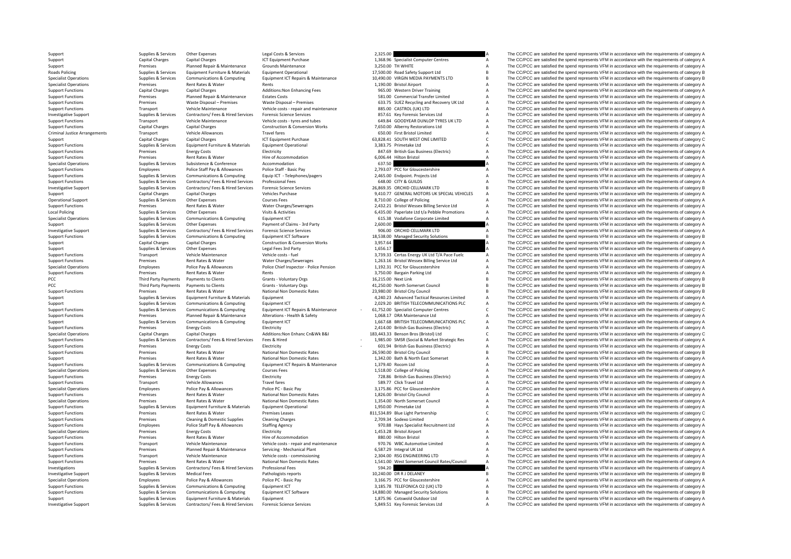**Roads Policing** Criminal Justice**Local Policing** PCC **Third Party Payments** PCC Third Party Payments

Support Supplies & Services Other Expenses Legal Costs & Services 2,325.00 A The CC/PCC are satisfied the spend represents VFM in accordance with the requirements of category A Support Capital Charges Capital Charges Capital Charges ICT Capital Charges ICT Computer Centres 1, 268.96 Specialist Computer Centres A The CC/PCC are satisfied the spend represents VFM in accordance with the requirements Support Premises Planned Repair & Maintenance Grounds Maintenance 3,250.00 TH WHITE A The CC/PCC are satisfied the spend represents VFM in accordance with the requirements of category A Roads Policing Supplies Aservices Equipment Furniture & Materials Equipment Operational 17,500.00 Road Safety Support Ltd B The CC/PCC are satisfied the spend represents VFM in accordance with the requirements of category Supplies & Supplies & Supplies & Communications & Computing Equipment ICT Repairs & Maintenance 10,490.00 VIRGIN MEDIA PAYMENTS LTD B The CC/PCC are satisfied the spend represents VFM in accordance with the requirements of Premises Rent Rates & Water Rents Rents Rents Rents Rents 1,190.00 Bristol Airport A The CC/PCC are satisfied the spend represents VFM in accordance with the requirements of category A Support Functions Capital Charges Capital Charges Additions:Non Enhancing Fees 965.00 Western Driver Training A The CC/PCC are satisfied the spend represents VFM in accordance with the requirements of category A Support Fe  $\Delta$  The CC/PCC are satisfied the spend represents VFM in accordance with the requirements of category A Support Functions Premises Waste Disposal – Premises Waste Disposal – Premises Waste Disposal – Premises Waste Disposal – Premises State Concerned A The CC/PCC are satisfied the spend represents VFM in accordance with the Support Functions Transport Vehicle Maintenance Vehicle costs - repair and maintenance 885.00 CASTROL (UK) LTD A The CC/PCC are satisfied the spend represents VFM in accordance with the requirements of category A the CC/PC Investigative Support Support Support Support Support Support Support Support Support Support Support Support Support Support Support Support Support Support Support Support Support Support Support Support Support Support Support Functions Transport Vehicle Maintenance Vehicle Costs – tyres and tubes 649.84 GOODYEAR DUNLOP TYRES UK LTD A The CC/PCC are satisfied the spend represents VFM in accordance with the requirements of category A Supp Support Functions Capital Charges Capital Charges Capital Charges Construction & Conversion Works 7,650.00 Alberny Restorations Ltd A The CC/PCC are satisfied the spend represents VFM in accordance with the requirements of Transport Vehicle Allowances Travel fares Travel fares 650.00 First Bristol Limited A The CC/PCC are satisfied the spend represents VFM in accordance with the requirements of category A Support Capital Charges Capital Charges Capital Charges ICT Equipment Purchase 63,828.41 SOUTH WEST ONE LIMITED C The CC/PCC are satisfied the spend represents VFM in accordance with the requirements of category C<br>Support Support Functions Supplies & Services Equipment Furniture & Materials Equipment Operational Equipment Operational 3,383.75 Primetake Ltd A The CC/PCC are satisfied the spend represents VFM in accordance with the requiremen Support Functions Premises Energy Costs Electricity Electricity Electricity Bases Energy Costs Electricity Electricity and the spend of the CC/PCC are satisfied the spend represents VFM in accordance with the requirements Support Functions Premises Rent Rates & Water Hire of Accommodation Hire of Accommodation A Specialistol A The CC/PCC are satisfied the spend represents VFM in accordance with the requirements of category A Specialist Oper Subsistence Subsistence Subsistence Accommodation accommodation Category A Service Subsistence Accommodation 637.50 Conference Accommodation 637.50 Conference Accommodation 637.50 A The CC/PCC are satisfied the spend repre Support Functions Employees Police Staff Pay & Allowances Police Staff - Basic Pay Police Staff - Basic Pay 2,793.07 PCC for Gloucestershire A The CC/PCC are satisfied the spend represents VFM in accordance with the requir Supplies & Services Communications & Computing Equip CT - Telephones/pagers 2.465.00 Endpoint. Projects Ltd A The CC/PCC are satisfied the spend represents VFM in accordance with the requirements of category A Support Functions Supplies & Services Contractors/ Fees & Hired Services Professional Fees Mired Services Professional Fees 648.00 CITY & GUILDS A The CC/PCC are satisfied the spend represents VFM in accordance with the re Investigative Support Support Support Support Support Support Support Support Support Support Support Support<br>Capital Charges Capital Charges Capital Charges Support Vehicles Purchase Vehicles Purchase Vehicles Purchase Su Support Capital Charges Capital Charges Vehicles Purchase Vehicles Purchase 9,410.77 GENERAL MOTORS UK SPECIAL VEHICLES A The CC/PCC are satisfied the spend represents VFM in accordance with the requirements of category A The CC/PCC are satisfied the spend represents VFM in accordance with the requirements of category A Support Functions Premises Rent Rates & Water Water Water Charges/Sewerages 2,432.21 Bristol Wessex Billing Service Ltd A The CC/PCC are satisfied the spend represents VFM in accordance with the requirements of category A Local Policing The CC/PCC are satisfied the spend represents VFM in accordance with the requirements of category A<br>Policing Supplies & Supplies & Services Communications & Computing Equipment ICT Cultument CT COLEC assume Specialist Operations Supplies A The CC/PCC are satisfied the spend represents VFM in accordance with the requirements of category A The CC/PCC are satisfied the spend represents VFM in accordance with the requirements of Support Support Support Support Support Support Support Support Support Support Support Support Support Support Support Support Support Support Support Support Support Support Support Support Support Support Support Suppor Investigative Support Support Support Support Support Support Support Support Support Support Support Support Support Support Support Support Support Support Support Support Support Support Support Support Functions & Supp Supplies & Services Communications & Computing Equipment ICT Software and Computer of the SASS.00 Managed Security Solutions B The CC/PCC are satisfied the spend represents VFM in accordance with the requirements of catego Support Capital Charges Capital Charges Construction & Conversion Works 3,957.64 A The CC/PCC are satisfied the spend represents VFM in accordance with the requirements of category A Support Supplies & Services Other Expenses Legal Fees 3rd Party 1,656.17 1,656.17 A The CC/PCC are satisfied the spend represents VFM in accordance with the requirements of category A Support Functions Transport Vehicle Ma Transport Vehicle Maintenance Vehicle costs - fuel vehicle costs - fuel 3,739.33 Certas Energy UK Ltd T/A Pace Fuelc A The CC/PCC are satisfied the spend represents VFM in accordance with the requirements of category A Support Functions Premises Rent Rates & Water Water Water Charges/Sewerages 1,263.16 Bristol Wessex Billing Service Ltd A The CC/PCC are satisfied the spend represents VFM in accordance with the requirements of category A Specialist Operations and procedures the control processes of the processes of the control of the control of the control of the control of the control of the control of category A and the control of category A and the cont Support Functions Premises Rent Rates & Water Rents 3,750.00 Bargain Parking Ltd A The CC/PCC are satisfied the spend represents VFM in accordance with the requirements of category A Payments to Clients Grants - Voluntary Orgs (Granty Payments of category B The CC/PCC are satisfied the spend represents VFM in accordance with the requirements of category B antis-to are approximately and the comparation Payments to Clients Crants - Voluntary Orgs 60 m and the spend of the Some of the Some of the Some of the Some of the Some of the Some of the Some of the Some of the Some of the Some of the Some of the Some of the Some of Support Functions Premises Rent Rates & Water National Non Domestic Rates 23,980.00 Bristol City Council B The CC/PCC are satisfied the spend represents VFM in accordance with the requirements of category B<br>Support Support Support Supplies & Services Equipment Furniture & Materials Equipment Americal Equipment A Annual Advanced Tactical Resources Limited A The CC/PCC are satisfied the spend represents VFM in accordance with the requirements Support Supplies & Supplies & Services Communications & Computing Equipment ICT equipment ICT 2029.20 BRITISH TELECOMMUNICATIONS PLC A The CC/PCC are satisfied the spend represents VFM in accordance with the requirements o Supplies & Services Communications & Computing Equipment ICT Repairs & Maintenance - 61,752.00 Specialist Computer Centres C The CC/PCC are satisfied the spend represents VFM in accordance with the requirements of category Support Functions Premises Planned Repair & Maintenance Alterations - Health & Safety 1,068.17 DRA Maintenance Ltd A The CC/PCC are satisfied the spend represents VFM in accordance with the requirements of category A Suppo Support Supplies Aservices Communications & Computing Equipment ICT 1,667.68 BRITISH TELECOMMUNICATIONS PLC A The CC/PCC are satisfied the spend represents VFM in accordance with the requirements of category A<br>Support Func Support Functions The Costs Energy Costs Electricity Electricity Electricity 2,414.00 British Gas Business (Electricity A The CC/PCC are satisfied the spend represents VFM in accordance with the requirements of category A Specialist Operations Capital Charges Capital Charges Additions:Non Enhanc Cn&Wk B&I 183,443.33 Benson Bros (Bristol) Ltd C The CC/PCC are satisfied the spend represents VFM in accordance with the requirements of category Support Functions Supplies & Services Contractors/Fees & Hired Services Fees & Hired Contractors Fees & Hired Contractors Fees & Hired Contractors Fees & Hired Contractors Fees & Hired Contractors Fees & Hired Contractors Support Functions Premises Energy Costs Energy Costs Electricity Electricity Electricity Electricity Electricity Electricity and the Support Energy A The CC/PCC are satisfied the spend represents VFM in accordance with the National Non Domestic Rates 26,590.00 Bristol City Council B The CC/PCC are satisfied the spend represents VFM in accordance with the requirements of category B<br>National Non Domestic Rates 25 A 1342.00 Bath & North East So Support Premises Rent Rates & Water National Non Domestic Rates 1,342.00 Bath & North East Somerset A The CC/PCC are satisfied the spend represents VFM in accordance with the requirements of category A Support Functions Supplies & Supplies & Services Communications & Computing Equipment ICT Repairs & Maintenance 1,379.40 Rocom Ltd A The CC/PCC are satisfied the spend represents VFM in accordance with the requirements of Specialist Operations Supplies & Services Other Expenses Courses Fees 1,518.00 College of Policing A The CC/PCC are satisfied the spend represents VFM in accordance with the requirements of category A Support Functions Premises Energy Costs Electricity Electricity Fraud Lines Energy Costs Electricity Electricity Electricity 728.86 British Gas Business (Electricity A The CC/PCC are satisfied the spend represents VFM in a Support Functions Transport Vehicle Allowances Travel fares 589.77 Click Travel Ltd A The CC/PCC are satisfied the spend represents VFM in accordance with the requirements of category A Specialist Operations Specialist Operations Followers Police Pay & Allowances Police PC - Basic Pay Police PC - Basic Pay Police PC - Basic Pay Basic Pay 3,175.86 PCC for Gloucestershire A The CC/PCC are satisfied the spen Support Functions Premises Rent Rates & Water Mational Non Domestic Rates 1,826.00 Bristol City Council A The CC/PCC are satisfied the spend represents VFM in accordance with the requirements of category A<br>A Specialist Ope Specialist Operations Premises Rent Rates & Water National Non Domestic Rates 1,354.00 North Somerset Council A The CC/PCC are satisfied the spend represents VFM in accordance with the requirements of category A Sumplex Se A The CC/PCC are satisfied the spend represents VFM in accordance with the requirements of category A Support Functions and Premises Rent Rates & Water Premises Leases 811,534.89 Blue Light Partnership C The CC/PCC are satisfied the spend represents VFM in accordance with the requirements of category C Support Functions Premises Cleaning & Domestic Supplies Cleaning Charges Cleaning Charges 2,709.34 Sodexo Limited A The CC/PCC are satisfied the spend represents VFM in accordance with the requirements of category A Suppor The CC/PCC are satisfied the spend represents VFM in accordance with the requirements of category A Specialist Operations Specialist Operations Fremises Premises Energy Costs Energy Costs Electricity Electricity 1,453.28 Bristol Airport A The CC/PCC are satisfied the spend represents VFM in accordance with the requiremen Support Functions Premises Rent Rates & Water Hire of Accommodation and anitenance and any and the of Accommodation 880.00 Hilton Bristol A The CC/PCC are satisfied the spend represents VFM in accordance with the requireme Vehicle Costs - repair and maintenance and the Support Vehicle costs - repair and maintenance 970.76 WBC Automotive Limited A The CC/PCC are satisfied the spend represents VFM in accordance with the requirements of categor Support Functions Premises Planned Repair & Maintenance Servicing - Mechanical Plant 6,587.29 Integral UK Ltd A The CC/PCC are satisfied the spend represents VFM in accordance with the requirements of category A Support Functions Transport Vehicle Maintenance Vehicle costs - commissioning 2,304.00 RSG ENGINEERING LTD A The CC/PCC are satisfied the spend represents VFM in accordance with the requirements of category A Support Functions Premises Rent Rates & Water National Non Domestic Rates 1,541.00 West Somerset Council Rates/Council A The CC/PCC are satisfied the spend represents VFM in accordance with the requirements of category A Investigations Supplies & Services Contractors/ Fees & Hired Services Professional Fees Services Professional Fees 594.20 A The CC/PCC are satisfied the spend represents VFM in accordance with the requirements of category Investigative Support Cupper Support Support Support Support Pathologists reports Pathologists reports 10,240.00 DR R J DELANEY B The CC/PCC are satisfied the spend represents VFM in accordance with the requirements of cat Specialist Operations Employees Police Pay & Allowances Police PC · Basic Pay Police PC · Basic Pay Police PC · Basic Pay 3,166.75 PCC for Gloucestershire A The CC/PCC are satisfied the spend represents VFM in accordance w Support Functions Supplies & Services Communications & Computing Equipment ICT 3,185.78 TELEFONICA O2 (UK) LTD A The CC/PCC are satisfied the spend represents VFM in accordance with the requirements of category A Supplies & Services Communications & Computing Equipment ICT Software 14,880.00 Managed Security Solutions B The CC/PCC are satisfied the spend represents VFM in accordance with the requirements of category B Support Support Support Services Equipment Furniture & Materials Equipment 1,875.96 Cotswold Outdoor Ltd A The CC/PCC are satisfied the spend represents VFM in accordance with the requirements of category A Investigative Support Support Support Supporte Supportes Supporters Supporters Contractors/ Fees & Hired Services Forensic Science Services on S,849.51 Key Forensic Services Ltd A The CC/PCC are satisfied the spend represe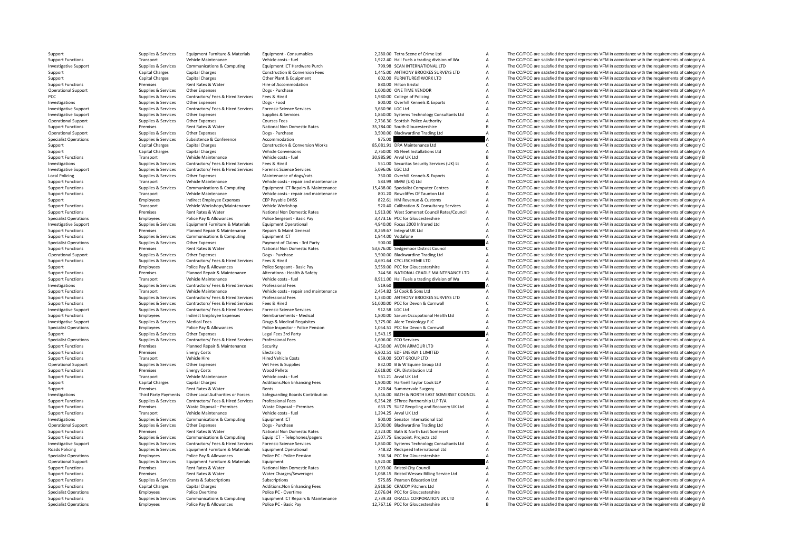**Local Policing Roads Policing** 

Specialist Operations Employees Police Pay & Allowances Police PC - Basic Pay 12,767.16 PCC for Gloucestershire B The CC/PCC are satisfied the spend represents VFM in accordance with the requirements of category B

Support Supplies & Services Equipment Furniture & Materials Equipment - Consumables 2,280.00 Tetra Scene of Crime Ltd A The CC/PCC are satisfied the spend represents VFM in accordance with the requirements of category A Support Functions Transport Vehicle Maintenance Vehicle costs – fuel Vehicle costs – fuel 1,922.40 Hall Fuels a trading division of Wa A The CC/PCC are satisfied the spend represents VFM in accordance with the requirements The CC/PCC are satisfied the spend represents VFM in accordance with the requirements of category A supplies & Supplies & Supplies & Supplies & Communications & Computing Equipment ICT Hardware Purch 799.98 SCAN INTERNATIO Support Capital Charges Capital Charges Capital Charges Construction & Conversion Fees 1,445.00 ANTHONY BROOKES SURVEYS LTD A The CC/PCC are satisfied the spend represents VFM in accordance with the requirements of categor Support Capital Charges Capital Charges Capital Charges Other Plant & Equipment Charges Other Plant & Equipment 602.00 FURNITURE@WORK LTD A The CC/PCC are satisfied the spend represents VFM in accordance with the requireme Support Functions Premises Rent Rates & Water Hire of Accommodation 880.00 Hilton Bristol A The CC/PCC are satisfied the spend represents VFM in accordance with the requirements of category A Operational Support Supplies & Services Other Expenses Dogs - Purchase Dogs Purchase 1,000.00 ONE TIME VENDOR A The CC/PCC are satisfied the spend represents VFM in accordance with the requirements of category A record a s  $\Delta$  The CC/PCC are satisfied the spend represents VFM in accordance with the requirements of category  $\Delta$ Investigations Supplies & Services Other Expenses Dogs - Food Bogs - Food 800.00 Overhill Kennels & Exports A The CC/PCC are satisfied the spend represents VFM in accordance with the requirements of category A the conducti Investigative Support Supplies & Services Contractors/ Fees & Hired Services Forensic Science Services 3,660.96 LGC Ltd A The CC/PCC are satisfied the spend represents VFM in accordance with the requirements of category A Investigative Support Supplies & Services Other Expenses Supplies & Services Supplies & Services Supplies & Services Support Support Support Support Support Support Support Support Support Support Support Support Support S Operational Support Supplies & Services Other Expenses Courses Fees Courses Fees 2,736.30 Scottish Police Authority A The CC/PCC are satisfied the spend represents VFM in accordance with the requirements of category A Supp Support Functions Premises Rent Rates & Water National Non Domestic Rates 25,784.00 South Gloucestershire and the CC/PCC are satisfied the spend represents VFM in accordance with the requirements of category B Degs - Purch The CC/PCC are satisfied the spend represents VFM in accordance with the requirements of category A Specialist Operations Supplies & Subsistence Subsistence Accommodation Accommodation 975.00 A The CC/PCC are satisfied the spend represents VFM in accordance with the requirements of category A Construction & Construction Support Capital Charges Capital Charges Construction & Conversion Works 85,081.91 DRA Maintenance Ltd C The CC/PCC are satisfied the spend represents VFM in accordance with the requirements of category C Support Capital Charges Capital Charges Vehicle Conversions Vehicle Conversions 2,760.00 RS Fleet Installations Ltd A The CC/PCC are satisfied the spend represents VFM in accordance with the requirements of category A Support Functions Transport Vehicle Maintenance Vehicle Costs -fuel 30,985.90 Arval UK Ltd B Support B The CC/PCC are satisfied the spend represents VFM in accordance with the requirements of category B Investigations Supp Experience on the Companies of the Supplies & Services Contractors/ Fees & Hired Supplies of the Supplies & Supplies & Supplies & Supplies Contractors/ Fees & Hired Supplies Fees & Hired Supplies Fees & Hired Supplies Fees Investigative Support Support Supplies & Services Contractors/ Fees & Hired Services Forensic Science Services Forensic Science Services 5,096.06 LGC Ltd A The CC/PCC are satisfied the spend represents VFM in accordance wi Policing Supplies & Services Other Expenses Maintenance of dogs/cats 750.00 Overhill Kennels & Exports <sup>A</sup> The CC/PCC are satisfied the spend represents VFM in accordance with the requirements of category A Support Functions Transport Vehicle Maintenance Vehicle Costs - repair and maintenance 583.99 BMW (UK) Ltd A The CC/PCC are satisfied the spend represents VFM in accordance with the requirements of category A Support Funct Supplies & Supplies & Supplies & Communications & Computing Equipment ICT Repairs & Maintenance 15,438.00 Specialist Computer Centres and The CC/PCC are satisfied the spend represents VFM in accordance with the requirement Support Functions Transport Vehicle Maintenance Vehicle costs - repair and maintenance 801.20 Rowcliffes Of Taunton Ltd A The CC/PCC are satisfied the spend represents VFM in accordance with the requirements of category A The CC/PCC are satisfied the spend represents VFM in accordance with the requirements of category A Support Functions Transport Vehicle Workshops/Maintenance Vehicle Workshop Support Category 520.40 Calibration & Consultancy Services A The CC/PCC are satisfied the spend represents VFM in accordance with the requirements Support Functions Premises Rent Rates & Water National Non Domestic Rates 1,913.00 West Somerset Council Rates/Council A The CC/PCC are satisfied the spend represents VFM in accordance with the requirements of category A<br>S Police Pay & Allowances Police Sergeant - Basic Pay 3,473.16 PCC for Gloucestershire A The CC/PCC are satisfied the spend represents VFM in accordance with the requirements of category A a and the requirements of category investigative Cumpleman Sunning Requires Equipment Equipment Burdinian Burdinian Control Equipment Control of Cumpleman And The CODC as equipment and property California (all accordance with the requirements of category A Support Functions Premises Planned Repair & Maintenance Repairs & Maint General 8,269.67 Integral UK Ltd A The CC/PCC are satisfied the spend represents VFM in accordance with the requirements of category A Support Functio Support Functions Supplies & Supplies & Supplies & Communications & Computing Equipment ICT Support Functions 1,944.00 Vodafone A The CC/PCC are satisfied the spend represents VFM in accordance with the requirements of cat Specialist Operations of Claims and Party of the Specialist Operations of Claims and Payment of Claims and Party of the Specialist Operations of Claims and the Specialist Operations of the Specialist Council and the spend Support Functions Premises Rent Rates & Water National Non Domestic Rates S3,676.00 Sedgemoor District Council C The CC/PCC are satisfied the spend represents VFM in accordance with the requirements of category C network o Operational Support Supplies & Services Other Expenses Dogs - Purchase Dogs Purchase 3,500.00 Blackwardine Trading Ltd A The CC/PCC are satisfied the spend represents VFM in accordance with the requirements of category A S Support Functions Supplies & Services Contractors/ Fees & Hired Services Fees & Hired 4,691.64 CYCLESCHEME LTD A The CC/PCC are satisfied the spend represents VFM in accordance with the requirements of category A Support Employees Police Pay & Allowances Police Sergeant - Basic Pay 3,559.00 PCC for Gloucestershire A The CC/PCC are satisfied the spend represents VFM in accordance with the requirements of category A Support Functions Sunnort Eunctions Control of Channel Promises Diagnost Photography Particular Alterations Alterations Alterations Alterations Alterations Alterations Alterations Alterations Alterations and English Control and The CODC are Support Functions Transport Vehicle Maintenance Vehicle Costs - fuel 8,911.00 Hall Fuels a trading division of Wa A The CC/PCC are satisfied the spend represents VFM in accordance with the requirements of category A Invest Investigations Supplies & Services Contractors/ Fees & Hired Services Professional Fees Professional Fees Supplies Professional Fees 519.60 Supplies Contractors/ Fees A The CC/PCC are satisfied the spend represents VFM in Support Functions Transport Vehicle Maintenance Vehicle costs - repair and maintenance 2,454.82 SJ Cook & Sons Ltd A The CC/PCC are satisfied the spend represents VFM in accordance with the requirements of category A Support Functions Supplies & Services Contractors/ Fees A Hired Services Professional Fees Microsoft Professional Fees Microsoft (1,330.00 ANTHONY BROOKES SURVEYS LTD A The CC/PCC are satisfied the spend represents VFM in The CC/PCC are satisfied the spend represents VFM in accordance with the requirements of category C Investigative Support Support Support Supportes A Contractors/ Fees & Hired Services Forensic Science Services 912.58 LGC Ltd A The CC/PCC are satisfied the spend represents VFM in accordance with the requirements of categ Support Functions Employees Indirect Employee Expenses Reimbursements - Medical 1,800.00 Sarum Occupational Health Ltd A The CC/PCC are satisfied the spend represents VFM in accordance with the requirements of category A D 3,375.00 Alere Toxicology PLC<br>1,054.51 PCC for Devon & Cornwall A The CC/PCC are satisfied the spend represents VFM in accordance with the requirements of category A Specialist Operations and the computer of the equirements of category A capacity and the equirements of category A capacity of the equirements of category A capacity of the equirements of category A capacity of the equirem Support Supplies & Services Other Expenses Legal Fees 3rd Party 1,543.15 A The CC/PCC are satisfied the spend represents VFM in accordance with the requirements of category A Support Support Support Support Support of the Supplies & Services Contractors/ Fees & Hired Services Professional Fees 1,606.00 FCO Services 1,606.00 FCO Services A The CC/PCC are satisfied the spend represents VFM in accordance with the requirements of category A Support Functions Premises Planned Repair & Maintenance Security and the Security and the ACONON ARMOUR LTD A The CC/PCC are satisfied the spend represents VFM in accordance with the requirements of category A Support Func Support Functions Premises Energy Consumer Communist Premises Energy Costs EDF ENERGY 1 LIMITED A The CC/PCC are satisfied the spend represents VFM in accordance with the requirements of category A The CC/PCC are satisfied Support Functions Transport Vehicle Hire Hire Hired Vehicle Costs 659.00 SCOT GROUP LTD A The CC/PCC are satisfied the spend represents VFM in accordance with the requirements of category A Operational Support Supplies & Supplies Supplies Vet Fees & Supplies Vet Fees & Supplies 832.00 B & W Equine Group Ltd A The CC/PCC are satisfied the spend represents VFM in accordance with the requirements of category A S Support Functions Premises Energy Costs Wood Pellets Wood Pellets 2,618.00 CPL Distribution Ltd A The CC/PCC are satisfied the spend represents VFM in accordance with the requirements of category A Support Functions Transp Support Functions Transport Vehicle Maintenance Vehicle costs – fuel Vehicle costs – fuel Section of the COVID Carry of the CC/PCC are satisfied the spend represents VFM in accordance with the requirements of category A Su Support Capital Charges Capital Charges Capital Charges Additions:Non Enhancing Fees 1,900.00 Hartnell Taylor Cook LLP A The CC/PCC are satisfied the spend represents VFM in accordance with the requirements of category A Support Premises Rent Rates & Water Rents Rents Rents 820.84 Summervale Surgery A The CC/PCC are satisfied the spend represents VFM in accordance with the requirements of category A Third Party Payments Other Local Authorities or Forces Safeguarding Boards Contribution 5,346.00 BATH & NORTH EAST SOMERSET COUNCIL A The CC/PCC are satisfied the spend represents VFM in accordance with the requirements of Supplies & Services Contractors/ Fees & Hired Services Professional Fees<br>
For a Support Functions and the contractors of the COPCC are satisfied the spend represents VFM in accordance with the requirements of category A<br>
S Premises Waste Disposal – Premises Waste Disposal – Premises 633.75 SUEZ Recycling and Recovery UK Ltd A The CC/PCC are satisfied the spend represents VFM in accordance with the requirements of category A Support Functions Transport Vehicle Maintenance Vehicle Costs – fuel 1,294.25 Arval UK Ltd A The CC/PCC are satisfied the spend represents VFM in accordance with the requirements of category A Investigations Supplies Aservices Communications & Computing Equipment ICT and the Supplies Associate and the COMPOS are satisfied the spend represents VFM in accordance with the requirements of category A Does - Purchase A The CC/PCC are satisfied the spend represents VFM in accordance with the requirements of category A Support Functions Premises Premises Rent Rates & Water National Non Domestic Rates 2,323.00 Bath & North East Somerset A The CC/PCC are satisfied the spend represents VFM in accordance with the requirements of category A S Supplies & Services Communications & Computing Equip ICT - Telephones/pagers 2,507.75 Endpoint. Projects Ltd A The CC/PCC are satisfied the spend represents VFM in accordance with the requirements of category A category A Contractors/ Fees & Hired Services Forensic Science Services Company of the CONSTRET CONSTRET AND SERVICES A THE CONSTRET AND THE CONSTRET THE CONSTRET THE CONSTRET ON THE CONSTRET ON THE CONSTRET ON THE CONSTRET ON THE CO Policing Supplies & Services Equipment Furniture & Materials Equipment Operational 748.32 Redspeed International Ltd A The CC/PCC are satisfied the spend represents VFM in accordance with the requirements of category A Specialist Operations Employees Police Pay & Allowances Police PC - Police PC - Police Pension Police Pension 766.34 PCC for Gloucestershire A The CC/PCC are satisfied the spend represents VFM in accordance with the requir Operational Support Supplies & Services Equipment Furniture & Materials Equipment Support Equipment Support 5,920.00 A The CC/PCC are satisfied the spend represents VFM in accordance with the requirements of category A Support Functions Premises Rent Rates & Water Mational Non Domestic Rates 1,093.00 Bristol City Council A The CC/PCC are satisfied the spend represents VFM in accordance with the requirements of category A Support Function Support Functions Premises Rent Rates & Water Water Water Water Charges 1,068.15 Bristol Wessex Billing Service Ltd A The CC/PCC are satisfied the spend represents VFM in accordance with the requirements of category A Support Functions Supplies & Subscriptions Subscriptions Subscriptions Subscriptions Subscriptions Subscriptions Subscriptions Subscriptions Subscriptions Subscriptions Subscriptions Subscriptions Subscriptions Subscriptio Support Functions Capital Charges Capital Charges Additions:Non Enhancing Fees 3,918.50 CRADDY Pitchers Ltd A The CC/PCC are satisfied the spend represents VFM in accordance with the requirements of category A Specialist Operations Folice Police Overtime Police PC - Overtime Police PC - Overtime 2,076.04 PCC for Gloucestershire A The CC/PCC are satisfied the spend represents VFM in accordance with the requirements of category A Sunnort Eungrisons Sunniles & Services Communications & Communications & Communications & Communications & Communications & Communications For Environment CT Renairs & Maintenance 273933 ORACLE CORPORATION UNLITO A The CC/